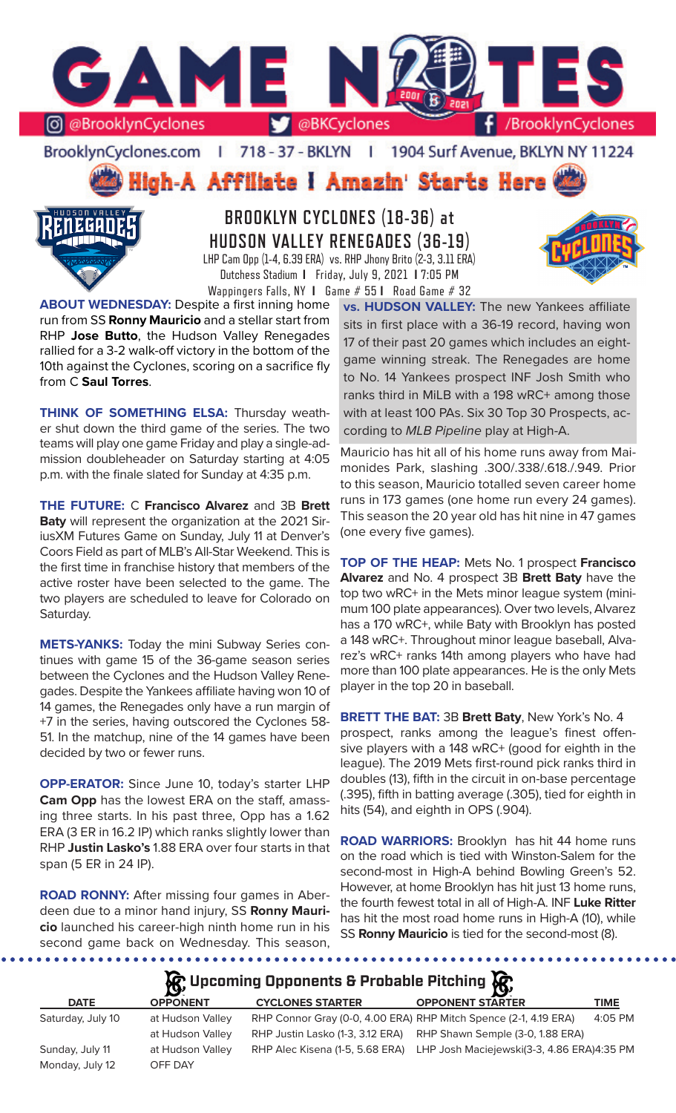

718 - 37 - BKLYN BrooklynCyclones.com | - 11 1904 Surf Avenue, BKLYN NY 11224

High-A Affiliate I Amazin' Starts Here



**BROOKLYN CYCLONES (18-36) at HUDSON VALLEY RENEGADES (36-19)** LHP Cam Opp (1-4, 6.39 ERA) vs. RHP Jhony Brito (2-3, 3.11 ERA) Dutchess Stadium **I** Friday, July 9, 2021 **I** 7:05 PM Wappingers Falls, NY **I** Game # 55 **I** Road Game # 32

**ABOUT WEDNESDAY:** Despite a first inning home run from SS **Ronny Mauricio** and a stellar start from RHP **Jose Butto**, the Hudson Valley Renegades rallied for a 3-2 walk-off victory in the bottom of the 10th against the Cyclones, scoring on a sacrifice fly from C **Saul Torres**.

**THINK OF SOMETHING ELSA: Thursday weath**er shut down the third game of the series. The two teams will play one game Friday and play a single-admission doubleheader on Saturday starting at 4:05 p.m. with the finale slated for Sunday at 4:35 p.m.

**THE FUTURE:** C **Francisco Alvarez** and 3B **Brett Baty** will represent the organization at the 2021 SiriusXM Futures Game on Sunday, July 11 at Denver's Coors Field as part of MLB's All-Star Weekend. This is the first time in franchise history that members of the active roster have been selected to the game. The two players are scheduled to leave for Colorado on Saturday.

**METS-YANKS:** Today the mini Subway Series continues with game 15 of the 36-game season series between the Cyclones and the Hudson Valley Renegades. Despite the Yankees affiliate having won 10 of 14 games, the Renegades only have a run margin of +7 in the series, having outscored the Cyclones 58- 51. In the matchup, nine of the 14 games have been decided by two or fewer runs.

**OPP-ERATOR:** Since June 10, today's starter LHP **Cam Opp** has the lowest ERA on the staff, amassing three starts. In his past three, Opp has a 1.62 ERA (3 ER in 16.2 IP) which ranks slightly lower than RHP **Justin Lasko's** 1.88 ERA over four starts in that span (5 ER in 24 IP).

**ROAD RONNY:** After missing four games in Aberdeen due to a minor hand injury, SS **Ronny Mauricio** launched his career-high ninth home run in his second game back on Wednesday. This season,

**vs. HUDSON VALLEY:** The new Yankees affiliate sits in first place with a 36-19 record, having won 17 of their past 20 games which includes an eightgame winning streak. The Renegades are home to No. 14 Yankees prospect INF Josh Smith who ranks third in MiLB with a 198 wRC+ among those with at least 100 PAs. Six 30 Top 30 Prospects, according to *MLB Pipeline* play at High-A.

Mauricio has hit all of his home runs away from Maimonides Park, slashing .300/.338/.618./.949. Prior to this season, Mauricio totalled seven career home runs in 173 games (one home run every 24 games). This season the 20 year old has hit nine in 47 games (one every five games).

**TOP OF THE HEAP:** Mets No. 1 prospect **Francisco Alvarez** and No. 4 prospect 3B **Brett Baty** have the top two wRC+ in the Mets minor league system (minimum 100 plate appearances). Over two levels, Alvarez has a 170 wRC+, while Baty with Brooklyn has posted a 148 wRC+. Throughout minor league baseball, Alvarez's wRC+ ranks 14th among players who have had more than 100 plate appearances. He is the only Mets player in the top 20 in baseball.

**BRETT THE BAT:** 3B **Brett Baty**, New York's No. 4 prospect, ranks among the league's finest offensive players with a 148 wRC+ (good for eighth in the league). The 2019 Mets first-round pick ranks third in doubles (13), fifth in the circuit in on-base percentage (.395), fifth in batting average (.305), tied for eighth in hits (54), and eighth in OPS (.904).

**ROAD WARRIORS:** Brooklyn has hit 44 home runs on the road which is tied with Winston-Salem for the second-most in High-A behind Bowling Green's 52. However, at home Brooklyn has hit just 13 home runs, the fourth fewest total in all of High-A. INF **Luke Ritter**  has hit the most road home runs in High-A (10), while SS **Ronny Mauricio** is tied for the second-most (8).

**A**: Upcoming Opponents & Probable Pitching **A** 

| <b>DATE</b>       | $\sim$<br><b>OPPONENT</b> | <b>CYCLONES STARTER</b> | $\sim$<br><b>OPPONENT STARTER</b>                                          | TIME    |
|-------------------|---------------------------|-------------------------|----------------------------------------------------------------------------|---------|
| Saturday, July 10 | at Hudson Valley          |                         | RHP Connor Gray (0-0, 4.00 ERA) RHP Mitch Spence (2-1, 4.19 ERA)           | 4:05 PM |
|                   | at Hudson Valley          |                         | RHP Justin Lasko (1-3, 3.12 ERA) RHP Shawn Semple (3-0, 1.88 ERA)          |         |
| Sunday, July 11   | at Hudson Valley          |                         | RHP Alec Kisena (1-5, 5.68 ERA) LHP Josh Maciejewski(3-3, 4.86 ERA)4:35 PM |         |
| Monday, July 12   | OFF DAY                   |                         |                                                                            |         |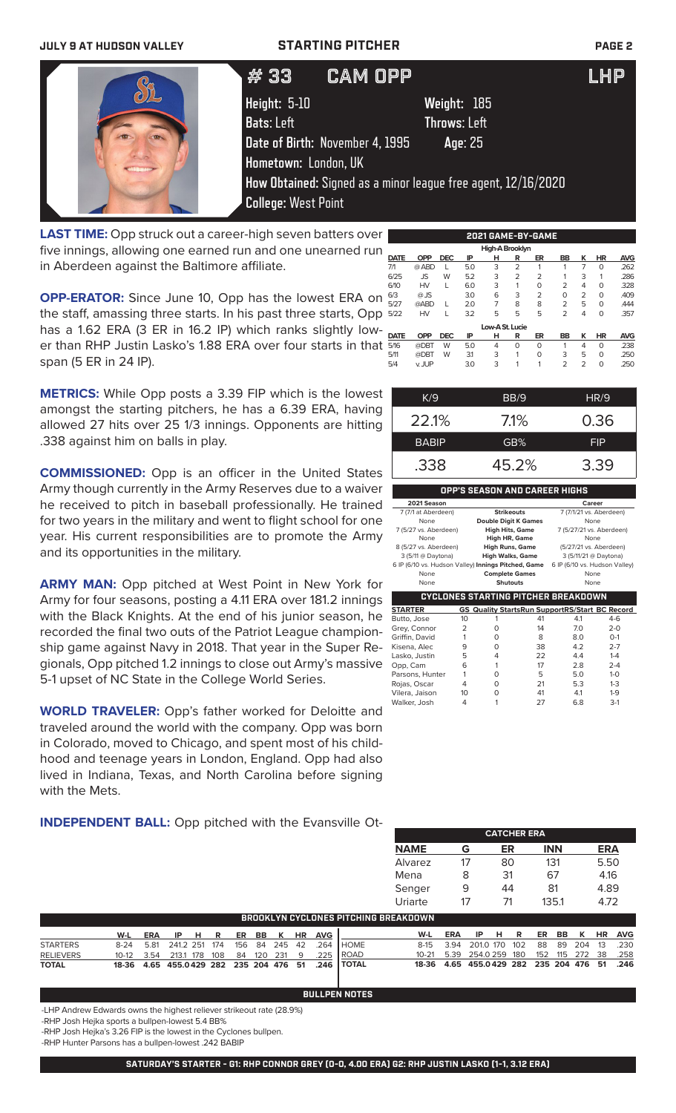# **JULY 9 AT HUDSON VALLEY STARTING PITCHER PAGE 2**

| # 33                       | <b>CAM OPP</b>                  |                                                               | <b>LHP</b> |
|----------------------------|---------------------------------|---------------------------------------------------------------|------------|
| Height: 5-10               |                                 | Weight: 185                                                   |            |
| <b>Bats: Left</b>          |                                 | <b>Throws: Left</b>                                           |            |
|                            | Date of Birth: November 4, 1995 | Age: 25                                                       |            |
| Hometown: London, UK       |                                 |                                                               |            |
|                            |                                 | How Obtained: Signed as a minor league free agent, 12/16/2020 |            |
| <b>College: West Point</b> |                                 |                                                               |            |
|                            |                                 |                                                               |            |

**LAST TIME:** Opp struck out a career-high seven batters over five innings, allowing one earned run and one unearned run in Aberdeen against the Baltimore affiliate.

**OPP-ERATOR:** Since June 10, Opp has the lowest ERA on the staff, amassing three starts. In his past three starts, Opp has a 1.62 ERA (3 ER in 16.2 IP) which ranks slightly lower than RHP Justin Lasko's 1.88 ERA over four starts in that span (5 ER in 24 IP).

**METRICS:** While Opp posts a 3.39 FIP which is the lowest amongst the starting pitchers, he has a 6.39 ERA, having allowed 27 hits over 25 1/3 innings. Opponents are hitting .338 against him on balls in play.

**COMMISSIONED:** Opp is an officer in the United States Army though currently in the Army Reserves due to a waiver he received to pitch in baseball professionally. He trained for two years in the military and went to flight school for one year. His current responsibilities are to promote the Army and its opportunities in the military.

**ARMY MAN:** Opp pitched at West Point in New York for Army for four seasons, posting a 4.11 ERA over 181.2 innings with the Black Knights. At the end of his junior season, he recorded the final two outs of the Patriot League championship game against Navy in 2018. That year in the Super Regionals, Opp pitched 1.2 innings to close out Army's massive 5-1 upset of NC State in the College World Series.

**WORLD TRAVELER:** Opp's father worked for Deloitte and traveled around the world with the company. Opp was born in Colorado, moved to Chicago, and spent most of his childhood and teenage years in London, England. Opp had also lived in Indiana, Texas, and North Carolina before signing with the Mets.

**INDEPENDENT BALL:** Opp pitched with the Evansville Ot-

| 2021 GAME-BY-GAME |             |            |            |     |                 |                |                |                |                |           |            |
|-------------------|-------------|------------|------------|-----|-----------------|----------------|----------------|----------------|----------------|-----------|------------|
|                   |             |            |            |     | High-A Brooklyn |                |                |                |                |           |            |
|                   | <b>DATE</b> | <b>OPP</b> | <b>DEC</b> | IP  | н               | R              | ER             | BB             | κ              | HR        | <b>AVG</b> |
|                   | 7/1         | @ ABD      | L          | 5.0 | 3               | $\overline{2}$ | 1              |                | 7              | $\Omega$  | .262       |
|                   | 6/25        | <b>JS</b>  | W          | 5.2 | 3               | $\overline{2}$ | $\overline{2}$ |                | 3              | 1         | .286       |
|                   | 6/10        | <b>HV</b>  | L          | 6.0 | 3               | 1              | O              | 2              | 4              | $\Omega$  | .328       |
|                   | 6/3         | $@$ JS     |            | 3.0 | 6               | 3              | $\overline{2}$ | O              | $\overline{2}$ | $\Omega$  | .409       |
|                   | 5/27        | @ABD       | L          | 2.0 | 7               | 8              | 8              | $\overline{2}$ | 5              | $\Omega$  | <b>444</b> |
|                   | 5/22        | <b>HV</b>  |            | 3.2 | 5               | 5              | 5              | $\overline{2}$ | 4              | $\Omega$  | .357       |
|                   |             |            |            |     | Low-A St. Lucie |                |                |                |                |           |            |
|                   | <b>DATE</b> | <b>OPP</b> | <b>DEC</b> | ΙP  | н               | R              | ER             | <b>BB</b>      | ĸ              | <b>HR</b> | <b>AVG</b> |
|                   | 5/16        | @DBT       | W          | 5.0 | 4               | 0              | O              |                | 4              | $\Omega$  | .238       |
|                   | 5/11        | @DBT       | W          | 31  | 3               | 1              | O              | 3              | 5              | $\Omega$  | .250       |
|                   | 5/4         | v. JUP     |            | 3.0 | 3               | 1              | 1              | $\overline{2}$ | $\overline{2}$ | 0         | .250       |
|                   |             |            |            |     |                 |                |                |                |                |           |            |

| K/9          | BB/9    | HR/9       |
|--------------|---------|------------|
| 22.1%        | $7.1\%$ | 0.36       |
| <b>BABIP</b> | GB%     | <b>FIP</b> |
| .338         | 45.2%   | 3.39       |

## **OPP'S SEASON AND CAREER HIGHS**

| 2021 Season                                         |                                            | Career                        |
|-----------------------------------------------------|--------------------------------------------|-------------------------------|
| 7 (7/1 at Aberdeen)                                 | <b>Strikeouts</b>                          | 7 (7/1/21 vs. Aberdeen)       |
| None                                                | <b>Double Digit K Games</b>                | None                          |
| 7 (5/27 vs. Aberdeen)                               | <b>High Hits, Game</b>                     | 7 (5/27/21 vs. Aberdeen)      |
| None                                                | High HR, Game                              | None                          |
| 8 (5/27 vs. Aberdeen)                               | <b>High Runs, Game</b>                     | (5/27/21 vs. Aberdeen)        |
| 3 (5/11 @ Daytona)                                  | <b>High Walks, Game</b>                    | 3 (5/11/21 @ Daytona)         |
| 6 IP (6/10 vs. Hudson Valley) Innings Pitched, Game |                                            | 6 IP (6/10 vs. Hudson Valley) |
| None                                                | <b>Complete Games</b>                      | None                          |
| None                                                | <b>Shutouts</b>                            | None                          |
|                                                     | <b>CYCLONES STARTING PITCHER BREAKDOWN</b> |                               |

| 10 |   | 41 | 4.1 | $4-6$                                                 |
|----|---|----|-----|-------------------------------------------------------|
| 2  | Ω | 14 | 7.0 | $2 - 0$                                               |
|    | Ω | 8  | 8.0 | $O-1$                                                 |
| 9  | Ω | 38 | 4.2 | $2 - 7$                                               |
| 5  | 4 | 22 | 4.4 | $1 - 4$                                               |
| 6  |   | 17 | 2.8 | $2 - 4$                                               |
|    | Ω | 5  | 5.0 | $1 - 0$                                               |
|    | Ω | 21 | 5.3 | $1 - 3$                                               |
| 10 | Ω | 41 | 4.1 | $1 - 9$                                               |
|    |   | 27 | 6.8 | $3-1$                                                 |
|    |   |    |     | <b>GS Quality StartsRun SupportRS/Start BC Record</b> |

|                          |    | <b>CATCHER ERA</b> |            |            |
|--------------------------|----|--------------------|------------|------------|
| <b>NAME</b>              | G  | ER                 | <b>INN</b> | <b>ERA</b> |
| Alvarez                  |    | 80                 | 131        | 5.50       |
| Mena                     | 8  | 31                 | 67         | 4.16       |
| Senger                   | 9  | 44                 | 81         | 4.89       |
| Uriarte                  | 17 | 71                 | 135.1      | 4.72       |
| <b>TUINE DREAIZHAINI</b> |    |                    |            |            |

| <b>BROOKLYN CYCLONES PITCHING BREAKDOWN.</b> |                                            |  |  |  |  |  |  |  |  |                               |                                                            |                                              |                               |  |  |  |  |  |
|----------------------------------------------|--------------------------------------------|--|--|--|--|--|--|--|--|-------------------------------|------------------------------------------------------------|----------------------------------------------|-------------------------------|--|--|--|--|--|
|                                              |                                            |  |  |  |  |  |  |  |  | W-L ERA IP H R ER BB K HR AVG |                                                            |                                              | W-L ERA IP H R ER BB K HR AVG |  |  |  |  |  |
| <b>STARTERS</b>                              | 8-24 5.81 241.2 251 174 156 84 245 42 .264 |  |  |  |  |  |  |  |  |                               | <b>I</b> HOME                                              | 8-15 3.94 201.0 170 102 88 89 204 13 .230    |                               |  |  |  |  |  |
| <b>RELIEVERS</b>                             |                                            |  |  |  |  |  |  |  |  |                               | 10-12  3.54  213.1  178  108  84  120  231  9  .225  ROAD  | 10-21 5.39 254.0 259 180 152 115 272 38 .258 |                               |  |  |  |  |  |
| <b>TOTAL</b>                                 |                                            |  |  |  |  |  |  |  |  |                               | 18-36  4.65  455.0429  282  235  204  476  51  .246  TOTAL | 18-36 4.65 455.0429 282 235 204 476 51 .246  |                               |  |  |  |  |  |

**BULLPEN NOTES**

-LHP Andrew Edwards owns the highest reliever strikeout rate (28.9%)

-RHP Josh Hejka sports a bullpen-lowest 5.4 BB%

-RHP Josh Hejka's 3.26 FIP is the lowest in the Cyclones bullpen.

-RHP Hunter Parsons has a bullpen-lowest .242 BABIP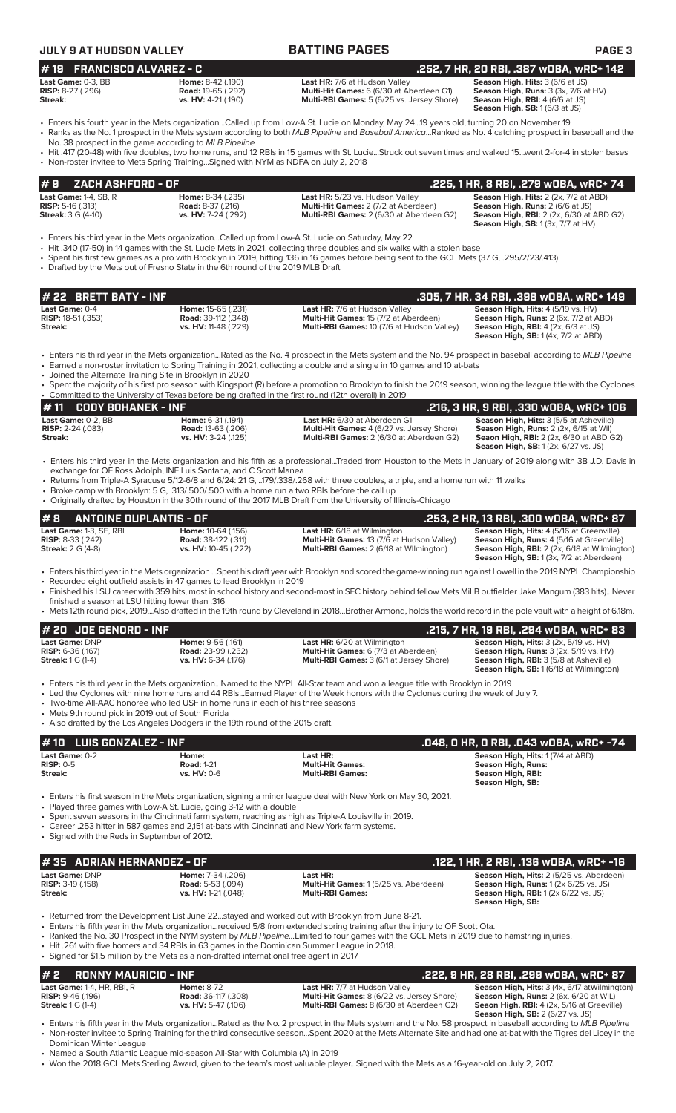| <b>JULY 9 AT HUDSON VALLEY</b>                                                                  |                                                                                                                                                                                         | <b>BATTING PAGES</b>                                                                                                                                                                                                                                                                                                                                                             | PAGE <sub>3</sub>                                                                                                                                                                                                            |
|-------------------------------------------------------------------------------------------------|-----------------------------------------------------------------------------------------------------------------------------------------------------------------------------------------|----------------------------------------------------------------------------------------------------------------------------------------------------------------------------------------------------------------------------------------------------------------------------------------------------------------------------------------------------------------------------------|------------------------------------------------------------------------------------------------------------------------------------------------------------------------------------------------------------------------------|
| #19 FRANCISCO ALVAREZ - C                                                                       |                                                                                                                                                                                         |                                                                                                                                                                                                                                                                                                                                                                                  | .252, 7 HR, 20 RBI, .387 wOBA, wRC+ 142                                                                                                                                                                                      |
| Last Game: 0-3, BB<br><b>RISP:</b> 8-27 (.296)<br>Streak:                                       | Home: 8-42 (.190)<br><b>Road: 19-65 (.292)</b><br>vs. HV: 4-21 (.190)                                                                                                                   | Last HR: 7/6 at Hudson Valley<br>Multi-Hit Games: 6 (6/30 at Aberdeen G1)<br>Multi-RBI Games: 5 (6/25 vs. Jersey Shore)                                                                                                                                                                                                                                                          | Season High, Hits: 3 (6/6 at JS)<br>Season High, Runs: 3 (3x, 7/6 at HV)<br>Season High, RBI: 4 (6/6 at JS)<br>Season High, SB: 1 (6/3 at JS)                                                                                |
|                                                                                                 | No. 38 prospect in the game according to MLB Pipeline                                                                                                                                   | • Enters his fourth year in the Mets organizationCalled up from Low-A St. Lucie on Monday, May 2419 years old, turning 20 on November 19<br>• Ranks as the No. 1 prospect in the Mets system according to both MLB Pipeline and Baseball AmericaRanked as No. 4 catching prospect in baseball and the                                                                            |                                                                                                                                                                                                                              |
|                                                                                                 | • Non-roster invitee to Mets Spring TrainingSigned with NYM as NDFA on July 2, 2018                                                                                                     | • Hit .417 (20-48) with five doubles, two home runs, and 12 RBIs in 15 games with St. LucieStruck out seven times and walked 15went 2-for-4 in stolen bases                                                                                                                                                                                                                      |                                                                                                                                                                                                                              |
| #9<br>ZACH ASHFORD - OF                                                                         |                                                                                                                                                                                         |                                                                                                                                                                                                                                                                                                                                                                                  | .225, 1 HR, 8 RBI, .279 wOBA, wRC+ 74                                                                                                                                                                                        |
| Last Game: 1-4, SB, R<br><b>RISP: 5-16 (.313)</b><br><b>Streak:</b> 3 G (4-10)                  | Home: 8-34 (.235)<br><b>Road: 8-37 (.216)</b><br>vs. HV: 7-24 (.292)                                                                                                                    | Last HR: 5/23 vs. Hudson Valley<br>Multi-Hit Games: 2 (7/2 at Aberdeen)<br>Multi-RBI Games: 2 (6/30 at Aberdeen G2)                                                                                                                                                                                                                                                              | Season High, Hits: 2 (2x, 7/2 at ABD)<br>Season High, Runs: 2 (6/6 at JS)<br><b>Season High, RBI:</b> 2 (2x, 6/30 at ABD G2)<br><b>Season High, SB:</b> 1 (3x, 7/7 at HV)                                                    |
|                                                                                                 | • Drafted by the Mets out of Fresno State in the 6th round of the 2019 MLB Draft                                                                                                        | Enters his third year in the Mets organizationCalled up from Low-A St. Lucie on Saturday, May 22 •<br>• Hit .340 (17-50) in 14 games with the St. Lucie Mets in 2021, collecting three doubles and six walks with a stolen base<br>• Spent his first few games as a pro with Brooklyn in 2019, hitting .136 in 16 games before being sent to the GCL Mets (37 G, .295/2/23/.413) |                                                                                                                                                                                                                              |
| # 22 BRETT BATY - INF                                                                           |                                                                                                                                                                                         |                                                                                                                                                                                                                                                                                                                                                                                  | .305, 7 HR, 34 RBI, .398 wOBA, wRC+ 149                                                                                                                                                                                      |
| Last Game: 0-4<br><b>RISP: 18-51 (.353)</b><br>Streak:                                          | Home: 15-65 (.231)<br><b>Road:</b> 39-112 (.348)<br>vs. HV: 11-48 (.229)                                                                                                                | Last HR: 7/6 at Hudson Valley<br>Multi-Hit Games: 15 (7/2 at Aberdeen)<br>Multi-RBI Games: 10 (7/6 at Hudson Valley)                                                                                                                                                                                                                                                             | Season High, Hits: 4 (5/19 vs. HV)<br>Season High, Runs: 2 (6x, 7/2 at ABD)<br><b>Season High, RBI: 4 (2x, 6/3 at JS)</b><br><b>Season High, SB:</b> 1 (4x, 7/2 at ABD)                                                      |
|                                                                                                 | • Joined the Alternate Training Site in Brooklyn in 2020                                                                                                                                | • Enters his third year in the Mets organizationRated as the No. 4 prospect in the Mets system and the No. 94 prospect in baseball according to MLB Pipeline<br>• Earned a non-roster invitation to Spring Training in 2021, collecting a double and a single in 10 games and 10 at-bats                                                                                         |                                                                                                                                                                                                                              |
|                                                                                                 |                                                                                                                                                                                         | · Spent the majority of his first pro season with Kingsport (R) before a promotion to Brooklyn to finish the 2019 season, winning the league title with the Cyclones<br>• Committed to the University of Texas before being drafted in the first round (12th overall) in 2019                                                                                                    |                                                                                                                                                                                                                              |
| <b>CODY BOHANEK - INF</b><br>#11<br>Last Game: 0-2, BB<br><b>RISP:</b> $2-24$ (.083)<br>Streak: | Home: 6-31 (.194)<br><b>Road: 13-63 (.206)</b><br>vs. HV: 3-24 (.125)                                                                                                                   | Last HR: 6/30 at Aberdeen G1<br>Multi-Hit Games: 4 (6/27 vs. Jersey Shore)<br>Multi-RBI Games: 2 (6/30 at Aberdeen G2)                                                                                                                                                                                                                                                           | .216, 3 HR, 9 RBI, .330 WOBA, WRC+ 106<br>Season High, Hits: 3 (5/5 at Asheville)<br>Season High, Runs: 2 (2x, 6/15 at Wil)<br><b>Seaon High, RBI:</b> 2 (2x, 6/30 at ABD G2)<br><b>Season High, SB:</b> 1 (2x, 6/27 vs. JS) |
|                                                                                                 | exchange for OF Ross Adolph, INF Luis Santana, and C Scott Manea                                                                                                                        | • Enters his third year in the Mets organization and his fifth as a professionalTraded from Houston to the Mets in January of 2019 along with 3B J.D. Davis in<br>• Returns from Triple-A Syracuse 5/12-6/8 and 6/24: 21 G, 179/.338/.268 with three doubles, a triple, and a home run with 11 walks                                                                             |                                                                                                                                                                                                                              |
|                                                                                                 | • Broke camp with Brooklyn: 5 G, .313/.500/.500 with a home run a two RBIs before the call up                                                                                           | • Originally drafted by Houston in the 30th round of the 2017 MLB Draft from the University of Illinois-Chicago                                                                                                                                                                                                                                                                  |                                                                                                                                                                                                                              |
| <b>ANTOINE DUPLANTIS - OF</b><br># 8                                                            |                                                                                                                                                                                         |                                                                                                                                                                                                                                                                                                                                                                                  | .253, 2 HR, 13 RBI, .300 WOBA, WRC+ 87                                                                                                                                                                                       |
| Last Game: 1-3, SF, RBI<br><b>RISP:</b> 8-33 (.242)<br><b>Streak: 2 G (4-8)</b>                 | Home: 10-64 (.156)<br><b>Road:</b> 38-122 (.311)<br>vs. HV: 10-45 (.222)                                                                                                                | <b>Last HR:</b> 6/18 at Wilmington<br>Multi-Hit Games: 13 (7/6 at Hudson Valley)<br>Multi-RBI Games: 2 (6/18 at Wilmington)                                                                                                                                                                                                                                                      | Season High, Hits: 4 (5/16 at Greenville)<br>Season High, Runs: 4 (5/16 at Greenville)<br>Season High, RBI: 2 (2x, 6/18 at Wilmington)<br>Season High, SB: 1 (3x, 7/2 at Aberdeen)                                           |
| finished a season at LSU hitting lower than .316                                                | • Recorded eight outfield assists in 47 games to lead Brooklyn in 2019                                                                                                                  | • Enters his third year in the Mets organization Spent his draft year with Brooklyn and scored the game-winning run against Lowell in the 2019 NYPL Championship<br>• Finished his LSU career with 359 hits, most in school history and second-most in SEC history behind fellow Mets MiLB outfielder Jake Mangum (383 hits)Never                                                |                                                                                                                                                                                                                              |
|                                                                                                 |                                                                                                                                                                                         | • Mets 12th round pick, 2019Also drafted in the 19th round by Cleveland in 2018Brother Armond, holds the world record in the pole vault with a height of 6.18m.                                                                                                                                                                                                                  |                                                                                                                                                                                                                              |
| # 20 JOE GENORD - INF                                                                           |                                                                                                                                                                                         |                                                                                                                                                                                                                                                                                                                                                                                  | .215, 7 HR, 19 RBI, .294 wOBA, wRC+ 83                                                                                                                                                                                       |
| Last Game: DNP<br>RISP: 6-36 (.167)<br><b>Streak:</b> 1 G (1-4)                                 | Home: 9-56 (.161)<br><b>Road:</b> 23-99 (.232)<br>vs. HV: 6-34 (.176)                                                                                                                   | Last HR: 6/20 at Wilmington<br>Multi-Hit Games: 6 (7/3 at Aberdeen)<br>Multi-RBI Games: 3 (6/1 at Jersey Shore)                                                                                                                                                                                                                                                                  | Season High, Hits: 3 (2x, 5/19 vs. HV)<br>Season High, Runs: 3 (2x, 5/19 vs. HV)<br>Season High, RBI: 3 (5/8 at Asheville)<br><b>Season High, SB: 1 (6/18 at Wilmington)</b>                                                 |
| • Mets 9th round pick in 2019 out of South Florida                                              | • Two-time All-AAC honoree who led USF in home runs in each of his three seasons                                                                                                        | • Enters his third year in the Mets organizationNamed to the NYPL All-Star team and won a league title with Brooklyn in 2019<br>• Led the Cyclones with nine home runs and 44 RBIsEarned Player of the Week honors with the Cyclones during the week of July 7.                                                                                                                  |                                                                                                                                                                                                                              |
|                                                                                                 | • Also drafted by the Los Angeles Dodgers in the 19th round of the 2015 draft.                                                                                                          |                                                                                                                                                                                                                                                                                                                                                                                  |                                                                                                                                                                                                                              |
| <b>LUIS GONZALEZ - INF</b><br># 10<br>Last Game: 0-2                                            | Home:                                                                                                                                                                                   | Last HR:                                                                                                                                                                                                                                                                                                                                                                         | .048, 0 HR, 0 RBI, .043 w0BA, wRC+ -74<br>Season High, Hits: 1 (7/4 at ABD)                                                                                                                                                  |
| <b>RISP: 0-5</b><br><b>Streak:</b>                                                              | <b>Road: 1-21</b><br>vs. HV: 0-6                                                                                                                                                        | <b>Multi-Hit Games:</b><br><b>Multi-RBI Games:</b>                                                                                                                                                                                                                                                                                                                               | <b>Season High, Runs:</b><br>Season High, RBI:<br>Season High, SB:                                                                                                                                                           |
|                                                                                                 | • Played three games with Low-A St. Lucie, going 3-12 with a double                                                                                                                     | • Enters his first season in the Mets organization, signing a minor league deal with New York on May 30, 2021.<br>• Spent seven seasons in the Cincinnati farm system, reaching as high as Triple-A Louisville in 2019.                                                                                                                                                          |                                                                                                                                                                                                                              |
| • Signed with the Reds in September of 2012.                                                    | • Career .253 hitter in 587 games and 2,151 at-bats with Cincinnati and New York farm systems.                                                                                          |                                                                                                                                                                                                                                                                                                                                                                                  |                                                                                                                                                                                                                              |
| #35 ADRIAN HERNANDEZ - OF                                                                       |                                                                                                                                                                                         |                                                                                                                                                                                                                                                                                                                                                                                  | .122, 1 HR, 2 RBI, .136 wOBA, wRC+ -16                                                                                                                                                                                       |
| Last Game: DNP<br><b>RISP: 3-19 (.158)</b><br><b>Streak:</b>                                    | Home: 7-34 (.206)<br><b>Road: 5-53 (.094)</b><br>vs. HV: 1-21 (.048)                                                                                                                    | Last HR:<br>Multi-Hit Games: 1 (5/25 vs. Aberdeen)<br><b>Multi-RBI Games:</b>                                                                                                                                                                                                                                                                                                    | Season High, Hits: 2 (5/25 vs. Aberdeen)<br>Season High, Runs: 1 (2x 6/25 vs. JS)<br><b>Season High, RBI:</b> 1 (2x 6/22 vs. JS)<br>Season High, SB:                                                                         |
|                                                                                                 | • Hit .261 with five homers and 34 RBIs in 63 games in the Dominican Summer League in 2018.<br>• Signed for \$1.5 million by the Mets as a non-drafted international free agent in 2017 | • Returned from the Development List June 22stayed and worked out with Brooklyn from June 8-21.<br>• Enters his fifth year in the Mets organizationreceived 5/8 from extended spring training after the injury to OF Scott Ota.<br>• Ranked the No. 30 Prospect in the NYM system by MLB PipelineLimited to four games with the GCL Mets in 2019 due to hamstring injuries.      |                                                                                                                                                                                                                              |
| #2<br><b>RONNY MAURICIO - INF</b>                                                               |                                                                                                                                                                                         |                                                                                                                                                                                                                                                                                                                                                                                  | .222, 9 HR, 28 RBI, .299 wOBA, wRC+ 87                                                                                                                                                                                       |
| Last Game: 1-4, HR, RBI, R<br><b>RISP: 9-46 (.196)</b><br><b>Streak:</b> 1 G (1-4)              | <b>Home: 8-72</b><br><b>Road:</b> 36-117 (.308)<br>vs. HV: 5-47 (.106)                                                                                                                  | Last HR: 7/7 at Hudson Valley<br>Multi-Hit Games: 8 (6/22 vs. Jersey Shore)<br>Multi-RBI Games: 8 (6/30 at Aberdeen G2)                                                                                                                                                                                                                                                          | Season High, Hits: 3 (4x, 6/17 at Wilmington)<br>Season High, Runs: 2 (6x, 6/20 at WIL)<br>Seaon High, RBI: 4 (2x, 5/16 at Greeville)                                                                                        |

 **Season High, SB:** 2 (6/27 vs. JS) • Enters his fifth year in the Mets organization...Rated as the No. 2 prospect in the Mets system and the No. 58 prospect in baseball according to *MLB Pipeline* • Non-roster invitee to Spring Training for the third consecutive season...Spent 2020 at the Mets Alternate Site and had one at-bat with the Tigres del Licey in the Dominican Winter League

• Named a South Atlantic League mid-season All-Star with Columbia (A) in 2019

• Won the 2018 GCL Mets Sterling Award, given to the team's most valuable player...Signed with the Mets as a 16-year-old on July 2, 2017.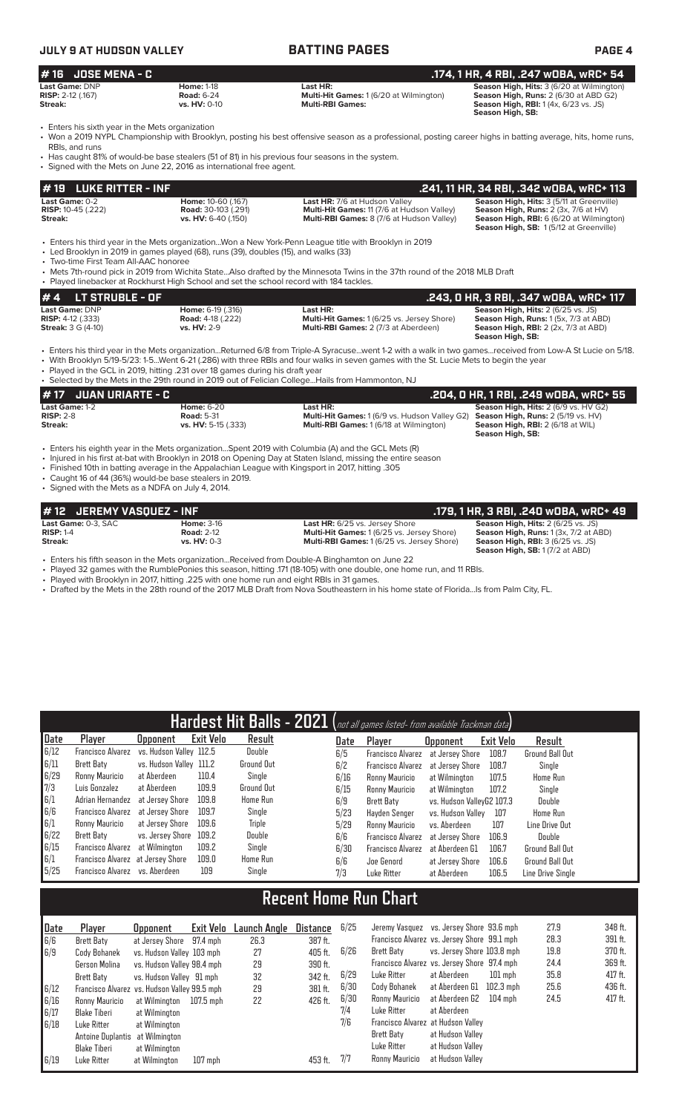# **JULY 9 AT HUDSON VALLEY BATTING PAGES PAGE 4 # 16 JOSE MENA - C .174, 1 HR, 4 RBI, .247 wOBA, wRC+ 54 Last Game:** DNP **Home:** 1-18 **Last HR: Season High, Hits:** 3 (6/20 at Wilmington) **RISP:** 2-12 (.167) **Road:** 6-24 **Multi-Hit Games:** 1 (6/20 at Wilmington) **Season High, Runs:** 2 (6/30 at ABD G2) **Streak:** vs. HV: 0-10 **Multi-RBI Games:** We are the season High, RBI: 1 (4x, 6/23 vs. JS)

• Enters his sixth year in the Mets organization<br>• Won a 2019 NYPL Championship with Brook

• Won a 2019 NYPL Championship with Brooklyn, posting his best offensive season as a professional, posting career highs in batting average, hits, home runs, RBIs, and runs • Has caught 81% of would-be base stealers (51 of 81) in his previous four seasons in the system.

**# 19 LUKE RITTER - INF .241, 11 HR, 34 RBI, .342 wOBA, wRC+ 113 Last Game:** 0-2 **Home:** 10-60 (.167) **Last HR:** 7/6 at Hudson Valley **Season High, Hits:** 3 (5/11 at Greenville) **RISP:** 10-45 (.222) **Road: 30-103 (.291) Multi-Hit Games: 11 (7/6 at Hudson Valley) Season High, Runs: RISP:** 10-45 (.222) **Road:** 30-103 (.291) **Multi-Hit Games:** 11 (7/6 at Hudson Valley) **Season High, Runs:** 2 (3x, 7/6 at HV) **Streak: vs. HV:** 6-40 (.150) **Multi-RBI Games:** 8 (7/6 at Hudson Valley) Signed with the Mets on June 22, 2016 as international free agent.

**Season High, SB:** 1 (5/12 at Greenville)

**Season High, SB:** 

**Season High, SB:** 

• Enters his third year in the Mets organization...Won a New York-Penn League title with Brooklyn in 2019

• Led Brooklyn in 2019 in games played (68), runs (39), doubles (15), and walks (33) • Two-time First Team All-AAC honoree

• Mets 7th-round pick in 2019 from Wichita State...Also drafted by the Minnesota Twins in the 37th round of the 2018 MLB Draft

**# 4 LT STRUBLE - OF .243, 0 HR, 3 RBI, .347 wOBA, wRC+ 117**<br> **117** Last Game: DNP **.243, 0 HR, 3 RBI, .347 wOBA, wRC+ 117**<br> **RISP:** 4-12 (.333) **Road: 4-18 (.222)** Multi-Hit Games: 1 (6/25 vs. Jersey Shore) **Season Hi Last Game:** DNP **Home:** 6-19 (.316) **Last HR: Season High, Hits:** 2 (6/25 vs. JS) **RISP:**  $4-12$  (.333) **Road:**  $4-18$  (.222) **Multi-Hit Games:** 1 (6/25 vs. Jersey Shore) **Streak:** 3 G (4-10) **vs. HV:** 2-9 **Multi-RBI Games:** 2 (7/3 at Aberdeen) **Streak:** 3 G (4-10) **vs. HV:** 2-9 **Multi-RBI Games:** 2 (7/3 at Aberdeen) **Season High, RBI:** 2 (2x, 7/3 at ABD) Played linebacker at Rockhurst High School and set the school record with 184 tackles

• Enters his third year in the Mets organization...Returned 6/8 from Triple-A Syracuse...went 1-2 with a walk in two games...received from Low-A St Lucie on 5/18. • With Brooklyn 5/19-5/23: 1-5...Went 6-21 (.286) with three RBIs and four walks in seven games with the St. Lucie Mets to begin the year

Played in the GCL in 2019, hitting .231 over 18 games during his draft year

• Selected by the Mets in the 29th round in 2019 out of Felician College...Hails from Hammonton, NJ

| <i>H</i> 17 JUAN URIARTE - C                                                                       |                     |                                                      | . .204, 0 HR, 1 RBI, .249 w0BA, wRC+ 55'                     |
|----------------------------------------------------------------------------------------------------|---------------------|------------------------------------------------------|--------------------------------------------------------------|
| <b>Last Game: 1-2</b>                                                                              | <b>Home: 6-20</b>   | Last HR:                                             | Season High, Hits: 2 (6/9 vs. HV G2)                         |
| $RISP: 2-8$                                                                                        | <b>Road: 5-31</b>   | <b>Multi-Hit Games:</b> 1 (6/9 vs. Hudson Valley G2) | <b>Season High, Runs: 2 (5/19 vs. HV)</b>                    |
| Streak:                                                                                            | vs. HV: 5-15 (.333) | <b>Multi-RBI Games: 1 (6/18 at Wilmington)</b>       | <b>Season High, RBI: 2 (6/18 at WIL)</b><br>Season High, SB: |
| • Enters his eighth year in the Mets organizationSpent 2019 with Columbia (A) and the GCL Mets (R) |                     |                                                      |                                                              |

- Injured in his first at-bat with Brooklyn in 2018 on Opening Day at Staten Island, missing the entire season
- Finished 10th in batting average in the Appalachian League with Kingsport in 2017, hitting .305
- Caught 16 of 44 (36%) would-be base stealers in 2019.

• Signed with the Mets as a NDFA on July 4, 2014.

| #12 JEREMY VASOUEZ - INF   |                    |                                                  | . .179, 1 HR, 3 RBI, .240 wOBA, wRC+ 49.     |
|----------------------------|--------------------|--------------------------------------------------|----------------------------------------------|
| <b>Last Game:</b> 0-3. SAC | <b>Home: 3-16</b>  | <b>Last HR:</b> 6/25 vs. Jersey Shore            | <b>Season High, Hits: 2 (6/25 vs. JS)</b>    |
| $RISP: 1-4$                | <b>Road: 2-12</b>  | <b>Multi-Hit Games: 1(6/25 vs. Jersey Shore)</b> | <b>Season High, Runs:</b> 1 (3x, 7/2 at ABD) |
| Streak:                    | <b>vs. HV: 0-3</b> | <b>Multi-RBI Games: 1(6/25 vs. Jersey Shore)</b> | <b>Season High, RBI: 3 (6/25 vs. JS)</b>     |
|                            |                    |                                                  | <b>Season High, SB: 1 (7/2 at ABD)</b>       |
|                            | .                  |                                                  |                                              |

• Enters his fifth season in the Mets organization...Received from Double-A Binghamton on June 22

• Played 32 games with the RumblePonies this season, hitting .171 (18-105) with one double, one home run, and 11 RBIs.

Played with Brooklyn in 2017, hitting .225 with one home run and eight RBIs in 31 games.

• Drafted by the Mets in the 28th round of the 2017 MLB Draft from Nova Southeastern in his home state of Florida...Is from Palm City, FL.

| Hardest Hit Balls - 2021 (not all games listed- from available Trackman data) |                                   |                         |                  |                   |          |      |                              |                                             |           |                   |
|-------------------------------------------------------------------------------|-----------------------------------|-------------------------|------------------|-------------------|----------|------|------------------------------|---------------------------------------------|-----------|-------------------|
| Date                                                                          | Player                            | Upponent                | <b>Exit Velo</b> | Result            |          | Date | Player                       | <b>Opponent</b>                             | Exit Velo | Result            |
| 6/12                                                                          | <b>Francisco Alvarez</b>          | vs. Hudson Valley 112.5 |                  | Double            |          | 6/5  | <b>Francisco Alvarez</b>     | at Jersey Shore                             | 108.7     | Ground Ball Out   |
| 6/11                                                                          | Brett Baty                        | vs. Hudson Valley 111.2 |                  | <b>Ground Out</b> |          | 6/2  | <b>Francisco Alvarez</b>     | at Jersey Shore                             | 108.7     | Single            |
| 6/29                                                                          | Ronny Mauricio                    | at Aberdeen             | 110.4            | Single            |          | 6/16 | Ronny Mauricio               | at Wilmington                               | 107.5     | Home Run          |
| 7/3                                                                           | Luis Gonzalez                     | at Aberdeen             | 109.9            | <b>Ground Out</b> |          | 6/15 | Ronny Mauricio               | at Wilmington                               | 107.2     | Single            |
| 6/1                                                                           | Adrian Hernandez                  | at Jersey Shore         | 109.8            | Home Run          |          | 6/9  | <b>Brett Baty</b>            | vs. Hudson VallevG2 107.3                   |           | Double            |
| 6/6                                                                           | Francisco Alvarez                 | at Jersey Shore         | 109.7            | Single            |          | 5/23 | Hayden Senger                | vs. Hudson Vallev                           | 107       | Home Run          |
| 6/1                                                                           | Ronny Mauricio                    | at Jersey Shore         | 109.6            | <b>Triple</b>     |          | 5/29 | Ronny Mauricio               | vs. Aberdeen                                | 107       | Line Drive Out    |
| 6/22                                                                          | <b>Brett Baty</b>                 | vs. Jersey Shore        | 109.2            | Double            |          | 6/6  | Francisco Alvarez            | at Jersey Shore                             | 106.9     | Double            |
| 6/15                                                                          | <b>Francisco Alvarez</b>          | at Wilmington           | 109.2            | Single            |          | 6/30 | <b>Francisco Alvarez</b>     | at Aberdeen G1                              | 106.7     | Ground Ball Out   |
| 6/1                                                                           | Francisco Alvarez at Jersey Shore |                         | 109.0            | Home Run          |          | 6/6  | Joe Genord                   | at Jersey Shore                             | 106.6     | Ground Ball Out   |
| 5/25                                                                          | Francisco Alvarez                 | vs. Aberdeen            | 109              | Single            |          | 7/3  | Luke Ritter                  | at Aberdeen                                 | 106.5     | Line Drive Single |
|                                                                               |                                   |                         |                  |                   |          |      |                              |                                             |           |                   |
|                                                                               |                                   |                         |                  |                   |          |      | <b>Recent Home Run Chart</b> |                                             |           |                   |
| Date                                                                          | <b>Player</b>                     | <b>Opponent</b>         | Exit Velo        | Launch Angle      | Distance | 6/25 | Jeremy Vasquez               | vs. Jersey Shore 93.6 mph                   |           | 27.9              |
| 6/6                                                                           | <b>Brett Baty</b>                 | at Jersev Shore         | 97.4 mph         | 26.3              | 387 ft.  |      |                              | Francisco Alvarez vs. Jersey Shore 99.1 mph |           | 28.3              |

| i vate | <b>Fidyel</b>                   | upponent                                     | <b>LXIL VEIU</b> | Ldullull Aliyle | DISLANGE | <b>UILU</b> |                                             | DETERNY VOSQUEZ VS. DETSEY ONDIE JU.D MIDIT |           | <b>61.U</b> | ו ט <del>ד</del> ט |
|--------|---------------------------------|----------------------------------------------|------------------|-----------------|----------|-------------|---------------------------------------------|---------------------------------------------|-----------|-------------|--------------------|
| 6/6    | Brett Baty                      | at Jersey Shore 97.4 mph                     |                  | 26.3            | 387 ft.  |             | Francisco Alvarez vs. Jersey Shore 99.1 mph |                                             |           | 28.3        | 391 ft.            |
| 6/9    | Cody Bohanek                    | vs. Hudson Valley 103 mph                    |                  | 27              | 405 ft.  | 6/26        | Brett Baty                                  | vs. Jersey Shore 103.8 mph                  |           | 19.8        | 370 ft.            |
|        | Gerson Molina                   | vs. Hudson Valley 98.4 mph                   |                  | 29              | 390 ft.  |             | Francisco Alvarez vs. Jersey Shore 97.4 mph |                                             |           | 24.4        | 369 ft.            |
|        | Brett Baty                      | vs. Hudson Valley 91 mph                     |                  | 32              | 342 ft.  | 6/29        | Luke Ritter                                 | at Aberdeen                                 | 101 mph   | 35.8        | 417 ft.            |
| 6/12   |                                 | Francisco Alvarez vs. Hudson Valley 99.5 mph |                  | 29              | 381 ft.  | 6/30        | Cody Bohanek                                | at Aberdeen G1                              | 102.3 mph | 25.6        | 436 ft.            |
| 6/16   | Ronny Mauricio                  | at Wilmington                                | 107.5 mph        | 22              | 426 ft.  | 6/30        | Ronny Mauricio                              | at Aberdeen G2                              | 104 mph   | 24.5        | 417 ft.            |
| 6/17   | Blake Tiberi                    | at Wilmington                                |                  |                 |          | 7/4         | Luke Ritter                                 | at Aberdeen                                 |           |             |                    |
| 6/18   | Luke Ritter                     | at Wilmington                                |                  |                 |          | 7/6         | Francisco Alvarez at Hudson Vallev          |                                             |           |             |                    |
|        | Antoine Duplantis at Wilmington |                                              |                  |                 |          |             | Brett Baty                                  | at Hudson Valley                            |           |             |                    |
|        | Blake Tiberi                    | at Wilmington                                |                  |                 |          |             | Luke Ritter                                 | at Hudson Valley                            |           |             |                    |
| 6/19   | Luke Ritter                     | at Wilmington                                | $107$ mph        |                 | 453 ft.  | 7/7         | Ronny Mauricio                              | at Hudson Valley                            |           |             |                    |
|        |                                 |                                              |                  |                 |          |             |                                             |                                             |           |             |                    |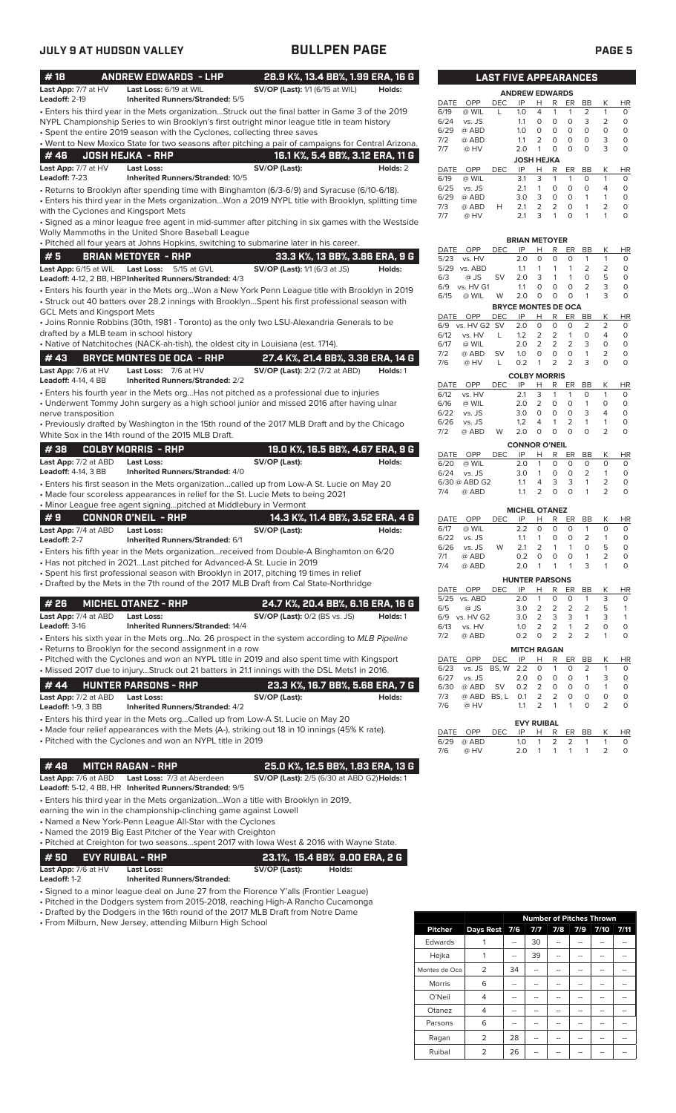| #18                                     | <b>ANDREW EDWARDS - LHP</b>                                                                                                                                                                                                                         | 28.9 K%, 13.4 BB%, 1.99 ERA, 16 G                  |          |              |                         |            |            | <b>LAST FIVE APPEARANCES</b>                        |                                             |                        |                                |                        |
|-----------------------------------------|-----------------------------------------------------------------------------------------------------------------------------------------------------------------------------------------------------------------------------------------------------|----------------------------------------------------|----------|--------------|-------------------------|------------|------------|-----------------------------------------------------|---------------------------------------------|------------------------|--------------------------------|------------------------|
| Last App: 7/7 at HV<br>Leadoff: 2-19    | Last Loss: 6/19 at WIL<br><b>Inherited Runners/Stranded: 5/5</b>                                                                                                                                                                                    | <b>SV/OP (Last):</b> 1/1 (6/15 at WIL)             | Holds:   |              |                         |            |            | <b>ANDREW EDWARDS</b>                               |                                             |                        |                                |                        |
|                                         | · Enters his third year in the Mets organizationStruck out the final batter in Game 3 of the 2019                                                                                                                                                   |                                                    |          | DATE<br>6/19 | OPP<br>@ WIL            | DEC<br>L   | IP<br>1.0  | H<br>R<br>4<br>$\mathbf{1}$                         | ER<br>$\mathbf{1}$                          | BB<br>2                | К<br>$\mathbf{1}$              | <b>HR</b><br>0         |
|                                         | NYPL Championship Series to win Brooklyn's first outright minor league title in team history                                                                                                                                                        |                                                    |          | 6/24         | vs. JS                  |            | 1.1        | $\circ$<br>0                                        | $\circ$                                     | 3                      | 2                              | $\circ$                |
|                                         | • Spent the entire 2019 season with the Cyclones, collecting three saves                                                                                                                                                                            |                                                    |          | 6/29<br>7/2  | @ ABD<br>@ ABD          |            | 1.0<br>1.1 | 0<br>0<br>$\mathbf 0$<br>2                          | $\circ$<br>$\circ$                          | $\circ$<br>$\mathbf 0$ | $\circ$<br>3                   | $\circ$<br>$\circ$     |
|                                         | . Went to New Mexico State for two seasons after pitching a pair of campaigns for Central Arizona.                                                                                                                                                  |                                                    |          | 7/7          | @ HV                    |            | 2.0        | $\circ$<br>$\mathbf{1}$                             | $\circ$                                     | $\circ$                | 3                              | $\mathbf 0$            |
| #46<br>Last App: 7/7 at HV              | <b>JOSH HEJKA - RHP</b><br><b>Last Loss:</b>                                                                                                                                                                                                        | 16.1 K%, 5.4 BB%, 3.12 ERA, 11 G<br>SV/OP (Last):  | Holds: 2 |              |                         |            |            | <b>JOSH HEJKA</b>                                   |                                             |                        |                                |                        |
| Leadoff: 7-23                           | Inherited Runners/Stranded: 10/5                                                                                                                                                                                                                    |                                                    |          | DATE<br>6/19 | OPP<br>@ WIL            | <b>DEC</b> | IP<br>3.1  | н<br>3<br>$\mathbf{1}$                              | R<br>ER<br>$\mathbf{1}$                     | BB<br>O                | К<br>$\mathbf{1}$              | <b>HR</b><br>0         |
|                                         | - Returns to Brooklyn after spending time with Binghamton (6/3-6/9) and Syracuse (6/10-6/18).                                                                                                                                                       |                                                    |          | 6/25         | vs. JS                  |            | 2.1        | $\mathbf 0$<br>1                                    | $\circ$                                     | $\circ$                | $\overline{4}$                 | $\circ$                |
|                                         | . Enters his third year in the Mets organizationWon a 2019 NYPL title with Brooklyn, splitting time                                                                                                                                                 |                                                    |          | 6/29<br>7/3  | @ ABD<br>@ ABD          | H          | 3.0<br>2.1 | 3<br>$\circ$<br>2                                   | $\circ$<br>2<br>$\circ$                     | $\mathbf{1}$<br>1      | $\mathbf{1}$<br>$\overline{2}$ | $\circ$<br>$\circ$     |
| with the Cyclones and Kingsport Mets    | · Signed as a minor league free agent in mid-summer after pitching in six games with the Westside                                                                                                                                                   |                                                    |          | 7/7          | @ HV                    |            | 2.1        | 3<br>$\mathbf{1}$                                   | $\circ$                                     | 1                      | $\mathbf{1}$                   | $\mathbf 0$            |
|                                         | Wolly Mammoths in the United Shore Baseball League                                                                                                                                                                                                  |                                                    |          |              |                         |            |            |                                                     |                                             |                        |                                |                        |
|                                         | . Pitched all four years at Johns Hopkins, switching to submarine later in his career.                                                                                                                                                              |                                                    |          | DATE         | OPP                     | DEC        | IP         | <b>BRIAN METOYER</b><br>Н                           | R<br>ER                                     | <b>BB</b>              | К                              | HR                     |
| #5                                      | <b>BRIAN METOYER - RHP</b>                                                                                                                                                                                                                          | 33.3 K%, 13 BB%, 3.86 ERA, 9 G                     |          | 5/23         | vs. HV                  |            | 2.0        | $\circ$                                             | 0<br>$\circ$                                | $\mathbf{1}$           | $\mathbf{1}$                   | 0                      |
|                                         | Last App: 6/15 at WIL Last Loss: 5/15 at GVL                                                                                                                                                                                                        | <b>SV/OP (Last):</b> 1/1 (6/3 at JS)               | Holds:   | 6/3          | 5/29 vs. ABD<br>@ JS    | <b>SV</b>  | 1.1<br>2.0 | 1<br>1<br>3                                         | $\mathbf{1}$<br>$\mathbf{1}$<br>1           | 2<br>$\mathbf 0$       | $\overline{2}$<br>5            | $\circ$<br>$\circ$     |
|                                         | Leadoff: 4-12, 2 BB, HBP Inherited Runners/Stranded: 4/3<br>· Enters his fourth year in the Mets orgWon a New York Penn League title with Brooklyn in 2019                                                                                          |                                                    |          | 6/9          | vs. HV G1               |            | 1.1        | O                                                   | $\circ$<br>0                                | 2                      | 3                              | $\circ$                |
|                                         | • Struck out 40 batters over 28.2 innings with BrooklynSpent his first professional season with                                                                                                                                                     |                                                    |          | 6/15         | @ WIL                   | W          | 2.0        | 0                                                   | $\mathbf 0$<br>$\circ$                      | $\mathbf{1}$           | 3                              | $\mathbf 0$            |
| <b>GCL Mets and Kingsport Mets</b>      |                                                                                                                                                                                                                                                     |                                                    |          |              | DATE OPP                | DEC        | IP         | <b>BRYCE MONTES DE OCA</b><br>R<br>н                | ER                                          | BB                     | К                              | HR                     |
|                                         | • Joins Ronnie Robbins (30th, 1981 - Toronto) as the only two LSU-Alexandria Generals to be                                                                                                                                                         |                                                    |          | 6/9          | vs. HV G2 SV            |            | 2.0        | $\mathbf 0$<br>$\mathbf 0$                          | $\circ$                                     | $\overline{2}$         | 2                              | 0                      |
| drafted by a MLB team in school history | • Native of Natchitoches (NACK-ah-tish), the oldest city in Louisiana (est. 1714).                                                                                                                                                                  |                                                    |          | 6/12<br>6/17 | vs. HV<br>@ WIL         | L          | 1.2<br>2.0 | $\overline{2}$<br>2<br>$\overline{2}$<br>2          | $\mathbf{1}$<br>$\overline{2}$              | $\circ$<br>3           | $\overline{4}$<br>$\circ$      | $\circ$<br>$\mathsf O$ |
| #43                                     | <b>BRYCE MONTES DE OCA - RHP</b>                                                                                                                                                                                                                    | 27.4 K%, 21.4 BB%, 3.38 ERA, 14 G                  |          | 7/2          | @ ABD                   | <b>SV</b>  | 1.0        | $\circ$<br>0                                        | $\circ$                                     | $\mathbf{1}$           | 2                              | $\circ$                |
| Last App: 7/6 at HV                     | Last Loss: 7/6 at HV                                                                                                                                                                                                                                | <b>SV/OP (Last):</b> 2/2 (7/2 at ABD)              | Holds: 1 | 7/6          | @ HV                    | L          | 0.2        | $\mathbf{1}$                                        | 2<br>2                                      | 3                      | $\Omega$                       | $\mathsf{O}\xspace$    |
| <b>Leadoff: 4-14, 4 BB</b>              | <b>Inherited Runners/Stranded: 2/2</b>                                                                                                                                                                                                              |                                                    |          | DATE         | OPP                     | <b>DEC</b> | IP         | <b>COLBY MORRIS</b><br>R<br>Н                       | ER                                          | BB                     | К                              | <b>HR</b>              |
|                                         | • Enters his fourth year in the Mets orgHas not pitched as a professional due to injuries                                                                                                                                                           |                                                    |          | 6/12         | vs. HV                  |            | 2.1        | 3<br>$\mathbf 1$                                    | $\mathbf{1}$                                | $\circ$                | $\mathbf{1}$                   | $\circ$                |
| nerve transposition                     | • Underwent Tommy John surgery as a high school junior and missed 2016 after having ulnar                                                                                                                                                           |                                                    |          | 6/16<br>6/22 | @ WIL<br>vs. JS         |            | 2.0<br>3.0 | $\overline{2}$<br>$\circ$<br>$\mathbf 0$<br>$\circ$ | $\circ$<br>$\circ$                          | $\mathbf{1}$<br>3      | $\circ$<br>$\overline{4}$      | $\circ$<br>$\circ$     |
|                                         | • Previously drafted by Washington in the 15th round of the 2017 MLB Draft and by the Chicago                                                                                                                                                       |                                                    |          | 6/26         | vs. JS                  |            | 1.2        | $\mathbf{1}$<br>4                                   | $\overline{2}$                              | 1                      | $\mathbf{1}$                   | $\circ$                |
|                                         | White Sox in the 14th round of the 2015 MLB Draft.                                                                                                                                                                                                  |                                                    |          | 7/2          | @ ABD                   | W          | 2.0        | $\circ$<br>0                                        | $\circ$                                     | $\Omega$               | $\overline{2}$                 | $\mathbf 0$            |
| #38                                     | <b>COLBY MORRIS - RHP</b>                                                                                                                                                                                                                           | 19.0 K%, 16.5 BB%, 4.67 ERA, 9 G                   |          | DATE         | OPP                     | <b>DEC</b> | IP         | <b>CONNOR O'NEIL</b><br>н                           | R<br>ER                                     | <b>BB</b>              | К                              | <b>HR</b>              |
| Last App: 7/2 at ABD                    | <b>Last Loss:</b>                                                                                                                                                                                                                                   | SV/OP (Last):                                      | Holds:   | 6/20         | @ WIL                   |            | 2.0        | 1                                                   | $\circ$<br>0                                | $\circ$                | $\circ$                        | 0                      |
| <b>Leadoff: 4-14, 3 BB</b>              | <b>Inherited Runners/Stranded: 4/0</b>                                                                                                                                                                                                              |                                                    |          | 6/24         | vs. JS<br>6/30 @ ABD G2 |            | 3.0<br>1.1 | $\mathbf{1}$<br>4                                   | $\circ$<br>0<br>3<br>3                      | 2<br>$\mathbf{1}$      | $\mathbf{1}$<br>$\overline{2}$ | $\circ$<br>$\circ$     |
|                                         | • Enters his first season in the Mets organizationcalled up from Low-A St. Lucie on May 20<br>• Made four scoreless appearances in relief for the St. Lucie Mets to being 2021<br>. Minor League free agent signingpitched at Middlebury in Vermont |                                                    |          | 7/4          | @ ABD                   |            | 1.1        | 2<br>$\circ$                                        | $\circ$                                     |                        | 2                              | $\circ$                |
| #9                                      | <b>CONNOR O'NEIL - RHP</b>                                                                                                                                                                                                                          | 14.3 K%, 11.4 BB%, 3.52 ERA, 4 G                   |          | DATE         | OPP                     | <b>DEC</b> | IP         | <b>MICHEL OTANEZ</b><br>н                           | R<br>ER                                     | <b>BB</b>              | К                              | <b>HR</b>              |
| Last App: 7/4 at ABD                    | <b>Last Loss:</b>                                                                                                                                                                                                                                   | SV/OP (Last):                                      | Holds:   | 6/17         | @ WIL                   |            | 2.2        | 0<br>0                                              | $\circ$                                     | $\mathbf{1}$           | $\circ$                        | 0                      |
| Leadoff: 2-7                            | Inherited Runners/Stranded: 6/1                                                                                                                                                                                                                     |                                                    |          | 6/22<br>6/26 | vs. JS<br>vs. JS        | W          | 1.1<br>2.1 | 0<br>1<br>2                                         | 0<br>$\mathbf{1}$<br>$\mathbf{1}$           | 2<br>$\circ$           | $\mathbf{1}$<br>5              | 0<br>$\circ$           |
|                                         | • Enters his fifth year in the Mets organizationreceived from Double-A Binghamton on 6/20<br>• Has not pitched in 2021Last pitched for Advanced-A St. Lucie in 2019                                                                                 |                                                    |          | 7/1          | @ ABD                   |            | 0.2        | $\circ$<br>0                                        | $\circ$                                     | $\mathbf{1}$           | 2                              | $\circ$                |
|                                         | · Spent his first professional season with Brooklyn in 2017, pitching 19 times in relief                                                                                                                                                            |                                                    |          | 7/4          | @ ABD                   |            | 2.0        |                                                     | $\mathbf{1}$                                |                        |                                | 0                      |
|                                         | • Drafted by the Mets in the 7th round of the 2017 MLB Draft from Cal State-Northridge                                                                                                                                                              |                                                    |          |              | DATE OPP                | <b>DEC</b> | IP         | <b>HUNTER PARSONS</b><br>H<br>R                     | ER                                          | <b>BB</b>              | К                              | HR                     |
| #26                                     | <b>MICHEL OTANEZ - RHP</b>                                                                                                                                                                                                                          | 24.7 K%, 20.4 BB%, 6.16 ERA, 16 G                  |          |              | 5/25 vs. ABD            |            | 2.0        | 1<br>0                                              | 0                                           | $\mathbf{1}$           | 3                              | 0                      |
| Last App: 7/4 at ABD                    | <b>Last Loss:</b>                                                                                                                                                                                                                                   | <b>SV/OP (Last):</b> 0/2 (BS vs. JS)               | Holds: 1 | 6/5          | @ JS<br>6/9 vs. HV G2   |            | 3.0<br>3.0 | $\overline{2}$<br>2<br>2<br>3                       | 2<br>3                                      | 2<br>$\mathbf{1}$      | 5<br>3                         | 1<br>$\mathbf{1}$      |
| Leadoff: 3-16                           | <b>Inherited Runners/Stranded: 14/4</b>                                                                                                                                                                                                             |                                                    |          | 6/13         | vs. HV                  |            | 1.0        | 2                                                   | 2<br>$\mathbf{1}$                           | 2                      | 0                              | $\circ$                |
|                                         | • Enters his sixth year in the Mets org No. 26 prospect in the system according to MLB Pipeline                                                                                                                                                     |                                                    |          | 7/2          | @ ABD                   |            | 0.2        | 2<br>0                                              | $\overline{2}$                              | $\overline{2}$         | 1                              | $\circ$                |
|                                         | • Returns to Brooklyn for the second assignment in a row<br>• Pitched with the Cyclones and won an NYPL title in 2019 and also spent time with Kingsport                                                                                            |                                                    |          | DATE         | OPP                     | DEC        | IP         | <b>MITCH RAGAN</b><br>Н                             | R<br>ER                                     | <b>BB</b>              | К                              | HR                     |
|                                         | • Missed 2017 due to injuryStruck out 21 batters in 21.1 innings with the DSL Mets1 in 2016.                                                                                                                                                        |                                                    |          | 6/23         | vs. JS                  | BS, W 2.2  |            | 0<br>1                                              | 0                                           | 2                      | $\mathbf{1}$                   | 0                      |
| # 44                                    | <b>HUNTER PARSONS - RHP</b>                                                                                                                                                                                                                         | 23.3 K%, 16.7 BB%, 5.68 ERA, 7 G                   |          | 6/27<br>6/30 | vs. JS<br>@ ABD         | <b>SV</b>  | 2.0<br>0.2 | 0<br>2<br>0                                         | 0<br>0<br>0                                 | 1<br>0                 | 3<br>$\mathbf{1}$              | 0<br>0                 |
| Last App: 7/2 at ABD                    | <b>Last Loss:</b>                                                                                                                                                                                                                                   | SV/OP (Last):                                      | Holds:   | 7/3          | @ ABD BS, L             |            | 0.1        | $\overline{2}$                                      | 2<br>$\mathsf{O}\xspace$                    | 0                      | $\mathsf O$                    | 0                      |
| <b>Leadoff: 1-9, 3 BB</b>               | <b>Inherited Runners/Stranded: 4/2</b>                                                                                                                                                                                                              |                                                    |          | 7/6          | @ HV                    |            | 1.1        | 2                                                   | $\mathbf{1}$<br>1                           | $\circ$                | 2                              | 0                      |
|                                         | • Enters his third year in the Mets orgCalled up from Low-A St. Lucie on May 20                                                                                                                                                                     |                                                    |          |              |                         |            |            | <b>EVY RUIBAL</b>                                   |                                             |                        |                                |                        |
|                                         | • Made four relief appearances with the Mets (A-), striking out 18 in 10 innings (45% K rate).<br>• Pitched with the Cyclones and won an NYPL title in 2019                                                                                         |                                                    |          | DATE         | OPP                     | DEC        | IP         | н<br>1                                              | R<br>ER<br>$\overline{2}$<br>$\overline{2}$ | BB                     | К<br>$\mathbf{1}$              | HR<br>0                |
|                                         |                                                                                                                                                                                                                                                     |                                                    |          | 6/29<br>7/6  | @ ABD<br>@ HV           |            | 1.0<br>2.0 | 1<br>1                                              | 1                                           | 1<br>1                 | $\overline{2}$                 | $\circ$                |
| #48                                     | <b>MITCH RAGAN - RHP</b>                                                                                                                                                                                                                            | 25.0 K%, 12.5 BB%, 1.83 ERA, 13 G                  |          |              |                         |            |            |                                                     |                                             |                        |                                |                        |
| Last App: 7/6 at ABD                    | Last Loss: 7/3 at Aberdeen<br>Leadoff: 5-12, 4 BB, HR Inherited Runners/Stranded: 9/5                                                                                                                                                               | <b>SV/OP (Last):</b> 2/5 (6/30 at ABD G2) Holds: 1 |          |              |                         |            |            |                                                     |                                             |                        |                                |                        |
|                                         | • Enters his third year in the Mets organizationWon a title with Brooklyn in 2019,                                                                                                                                                                  |                                                    |          |              |                         |            |            |                                                     |                                             |                        |                                |                        |
|                                         | earning the win in the championship-clinching game against Lowell                                                                                                                                                                                   |                                                    |          |              |                         |            |            |                                                     |                                             |                        |                                |                        |
|                                         | • Named a New York-Penn League All-Star with the Cyclones<br>• Named the 2019 Big East Pitcher of the Year with Creighton                                                                                                                           |                                                    |          |              |                         |            |            |                                                     |                                             |                        |                                |                        |
|                                         | . Pitched at Creighton for two seasonsspent 2017 with lowa West & 2016 with Wayne State.                                                                                                                                                            |                                                    |          |              |                         |            |            |                                                     |                                             |                        |                                |                        |
| #50                                     | <b>EVY RUIBAL - RHP</b>                                                                                                                                                                                                                             | 23.1%, 15.4 BB% 9.00 ERA, 2 G                      |          |              |                         |            |            |                                                     |                                             |                        |                                |                        |
| Last App: 7/6 at HV                     | Last Loss:                                                                                                                                                                                                                                          | SV/OP (Last):<br>Holds:                            |          |              |                         |            |            |                                                     |                                             |                        |                                |                        |

**Leadoff:** 1-2 **Inherited Runners/Stranded:**

• Signed to a minor league deal on June 27 from the Florence Y'alls (Frontier League)

• Pitched in the Dodgers system from 2015-2018, reaching High-A Rancho Cucamonga

• Drafted by the Dodgers in the 16th round of the 2017 MLB Draft from Notre Dame

• From Milburn, New Jersey, attending Milburn High School

|                |                |    | <b>Number of Pitches Thrown</b> |     |     |      |      |
|----------------|----------------|----|---------------------------------|-----|-----|------|------|
| <b>Pitcher</b> | Days Rest 7/6  |    | 7/7                             | 7/8 | 7/9 | 7/10 | 7/11 |
| Edwards        |                |    | 30                              |     |     |      |      |
| Hejka          |                | -- | 39                              |     |     |      |      |
| Montes de Oca  | $\overline{2}$ | 34 | --                              |     | --  | --   |      |
| <b>Morris</b>  | 6              | -- |                                 |     | --  |      |      |
| O'Neil         | 4              | -- |                                 |     | --  |      |      |
| Otanez         | 4              | -- |                                 |     |     |      |      |
| Parsons        | 6              | -- |                                 | --  | --  |      |      |
| Ragan          | $\overline{2}$ | 28 |                                 | -   | --  |      |      |
| Ruibal         | $\overline{2}$ | 26 |                                 |     |     |      |      |

|      |        | LAST FIVE APPEARANCES |                       |                |                |          |    |                |           |
|------|--------|-----------------------|-----------------------|----------------|----------------|----------|----|----------------|-----------|
|      |        |                       | <b>ANDREW EDWARDS</b> |                |                |          |    |                |           |
| DATE | OPP    | <b>DEC</b>            | IP                    | н              | R              | ER       | ВB | Κ              | HR        |
| 6/19 | @ WIL  | L                     | 1.0                   | 4              | 1              | 1        | 2  | 1              | 0         |
| 6/24 | vs. JS |                       | 1.1                   | 0              | 0              | O        | 3  | $\overline{2}$ | 0         |
| 6/29 | @ ABD  |                       | 1.0                   | 0              | 0              | O        | 0  | $\Omega$       | 0         |
| 7/2  | @ ABD  |                       | 1.1                   | 2              | 0              | $\Omega$ | O  | 3              | 0         |
| 7/7  | @ HV   |                       | 2.0                   | 1              | $\Omega$       | O        | O  | 3              | 0         |
|      |        |                       | <b>JOSH HEJKA</b>     |                |                |          |    |                |           |
| DATE | OPP    | <b>DEC</b>            | IP                    | н              | R              | ER       | ВB | Κ              | <b>HR</b> |
| 6/19 | @ WIL  |                       | 3.1                   | 3              | 1              | 1        | O  | 1              | 0         |
| 6/25 | vs. JS |                       | 2.1                   | 1              | 0              | O        | 0  | 4              | 0         |
| 6/29 | @ ABD  |                       | 3.0                   | 3              | $\Omega$       | $\Omega$ | 1  | 1              | 0         |
| 7/3  | @ ABD  | н                     | 2.1                   | $\overline{2}$ | $\overline{2}$ | O        | 1  | $\overline{2}$ | 0         |
| 7/7  | @ HV   |                       | 2.1                   | 3              | 1              | 0        | 1  | 1              | 0         |

| DATE                       | OPP                  | DEC        | IP                   | н              | R              | ER             | BB             | Κ              | ΗR  |
|----------------------------|----------------------|------------|----------------------|----------------|----------------|----------------|----------------|----------------|-----|
| 5/23                       | vs. HV               |            | 2.0                  | 0              | $\Omega$       | 0              | 1              | 1              | 0   |
| 5/29                       | vs. ABD              |            | 1.1                  | 1              | 1              | 1              | $\overline{2}$ | $\overline{2}$ | 0   |
| 6/3                        | @ JS                 | SV         | 2.0                  | 3              | 1              | 1              | 0              | 5              | 0   |
| 6/9                        | vs. HV G1            |            | 1.1                  | 0              | $\Omega$       | 0              | 2              | 3              | 0   |
| 6/15                       | @ WIL                | W          | 2.0                  | 0              | 0              | 0              | 1              | 3              | 0   |
| <b>BRYCE MONTES DE OCA</b> |                      |            |                      |                |                |                |                |                |     |
| <b>DATE</b>                | OPP                  | <b>DEC</b> | IP                   | Н              | R              | ER             | BB             | Κ              | HR  |
| 6/9                        | vs. HV G2 SV         |            | 2.0                  | 0              | 0              | O              | $\overline{2}$ | 2              | 0   |
| 6/12                       | vs. HV               | L          | 1.2                  | 2              | $\overline{2}$ | 1              | 0              | 4              | 0   |
| 6/17                       | @ WIL                |            | 2.0                  | $\overline{2}$ | $\overline{2}$ | $\overline{2}$ | 3              | 0              | 0   |
| 7/2                        | @ ABD                | <b>SV</b>  | 1.0                  | 0              | $\mathbf 0$    | 0              | 1              | $\overline{2}$ | 0   |
| 7/6                        | @ HV                 | L          | 0.2                  | 1              | 2              | $\overline{2}$ | 3              | $\Omega$       | 0   |
|                            |                      |            | <b>COLBY MORRIS</b>  |                |                |                |                |                |     |
| <b>DATE</b>                | OPP                  | DEC        | IP                   | н              | R              | ER             | BB             | Κ              | ΗR  |
| 6/12                       | vs. HV               |            | 2.1                  | 3              | 1              | 1              | 0              | 1              | 0   |
| 6/16                       | @ WIL                |            | 2.0                  | $\overline{2}$ | 0              | O              | 1              | $\Omega$       | 0   |
| 6/22                       | vs. JS               |            | 3.0                  | $\Omega$       | 0              | O              | 3              | 4              | 0   |
| 6/26                       | vs. JS               |            | 1.2                  | 4              | 1              | 2              | 1              | 1              | 0   |
| 7/2                        | @ ABD                | W          | 2.0                  | 0              | 0              | O              | O              | 2              | 0   |
|                            |                      |            | <b>CONNOR O'NEIL</b> |                |                |                |                |                |     |
| <b>DATE</b>                | $\cap$ <sub>DD</sub> | DEC.       | 10 U D CD            |                |                |                | <b>DD</b>      | $\mathcal{U}$  | LID |

|      |               |      | <b>CONNOR O'NEIL</b> |                |                         |            |                |               |              |
|------|---------------|------|----------------------|----------------|-------------------------|------------|----------------|---------------|--------------|
|      | DATE OPP      | DEC. | IP -                 | H              |                         | R ER BB    |                | K             | HR           |
| 6/20 | @ WIL         |      | 2.0                  | 1              |                         | $0\quad 0$ | $\Omega$       |               | <sup>n</sup> |
|      | 6/24 vs. JS   |      | 30                   | 1              | $\Omega$                | $\Omega$   | $\overline{2}$ |               |              |
|      | 6/30 @ ABD G2 |      | 11                   | $\overline{4}$ | $\overline{\mathbf{3}}$ | -3         | $\overline{1}$ |               |              |
|      | $7/4$ @ ABD   |      | 11                   | $\overline{2}$ | $\Omega$                | $\Omega$   | $\overline{1}$ | $\mathcal{P}$ |              |
|      |               |      |                      |                |                         |            |                |               |              |

|      |                       |            | <b>MICHEL OTANEZ</b> |               |   |    |          |   |    |
|------|-----------------------|------------|----------------------|---------------|---|----|----------|---|----|
| DATE | OPP                   | <b>DEC</b> | ΙP                   | н             | R | ER | BB       |   | HR |
| 6/17 | @ WIL                 |            | 2.2                  | 0             | Ο | Ω  |          | Ω | O  |
| 6/22 | vs. JS                |            | 1.1                  | 1             | Ο | O  | 2        |   | O  |
| 6/26 | vs. JS                | W          | 21                   | $\mathcal{P}$ | 1 | 1  | $\Omega$ | 5 | O  |
| 7/1  | @ ABD                 |            | 0.2                  | O             | Ω | Ω  | 1        |   |    |
| 7/4  | @ ABD                 |            | 2.0                  | 1             | 1 | 1  | 3        |   | O  |
|      | <b>HUNTER PARSONS</b> |            |                      |               |   |    |          |   |    |

|      | DATE OPP      | DEC | IP                 | н |     | R ER BB         |                | K                       | <b>HR</b> |
|------|---------------|-----|--------------------|---|-----|-----------------|----------------|-------------------------|-----------|
|      | 5/25 vs. ABD  |     | 2.0                | 1 | 0   | 0               | 1              | 3                       | $\Omega$  |
| 6/5  | @ JS          |     | 3.0                |   |     | 2 2 2 2         |                | - 5                     | 1         |
|      | 6/9 vs. HV G2 |     | 3.0                |   |     | 2 3 3           | $\overline{1}$ | $\overline{\mathbf{3}}$ |           |
| 6/13 | vs. HV        |     | 1.0 <sub>1</sub>   |   | 2 2 | $\sim$ 1        | 2              | $\Omega$                |           |
| 7/2  | @ ABD         |     | 0.2                |   |     | $0 \t2 \t2 \t2$ |                |                         | $\Omega$  |
|      |               |     | <b>MITCH RAGAN</b> |   |     |                 |                |                         |           |

|     |                               |  | <u>MILOLINAVAN</u> |                   |  |  |          |          |                |
|-----|-------------------------------|--|--------------------|-------------------|--|--|----------|----------|----------------|
|     | DATE OPP DECIPH RERBBK        |  |                    |                   |  |  |          |          | - HR           |
|     | 6/23 vs. JS BS. W 2.2 0 1 0 2 |  |                    |                   |  |  |          |          | $\circ$        |
|     |                               |  |                    |                   |  |  |          |          | $\overline{0}$ |
|     | 6/30 @ABD SV 0.2 2 0 0        |  |                    |                   |  |  | $\circ$  |          | $\circ$        |
|     | 7/3 @ ABD BS.L 0.1 2 2 0 0    |  |                    |                   |  |  |          | $\Omega$ | $\Omega$       |
| 7/6 | @ HV                          |  |                    | $1.1 \t2 \t1 \t1$ |  |  | $\Omega$ | 2        | $\Omega$       |
|     |                               |  |                    |                   |  |  |          |          |                |
|     |                               |  | <b>EVY RUIBAL</b>  |                   |  |  |          |          |                |

|                |                |    |     |     |     | <b>Number of Pitches Thrown</b> |      |
|----------------|----------------|----|-----|-----|-----|---------------------------------|------|
| <b>Pitcher</b> | Days Rest 7/6  |    | 7/7 | 7/8 | 7/9 | 7/10                            | 7/11 |
| Edwards        |                |    | 30  |     |     |                                 |      |
| Hejka          |                | -- | 39  |     |     |                                 |      |
| Montes de Oca  | $\overline{2}$ | 34 | --  | --  | --  |                                 |      |
| <b>Morris</b>  | 6              | -- | --  | --  |     | --                              |      |
| O'Neil         | 4              |    | --  | --  |     |                                 |      |
| Otanez         | 4              |    |     |     |     |                                 |      |
| Parsons        | 6              |    | --  | --  |     |                                 |      |
| Ragan          | 2              | 28 |     |     |     |                                 |      |
|                |                |    |     |     |     |                                 |      |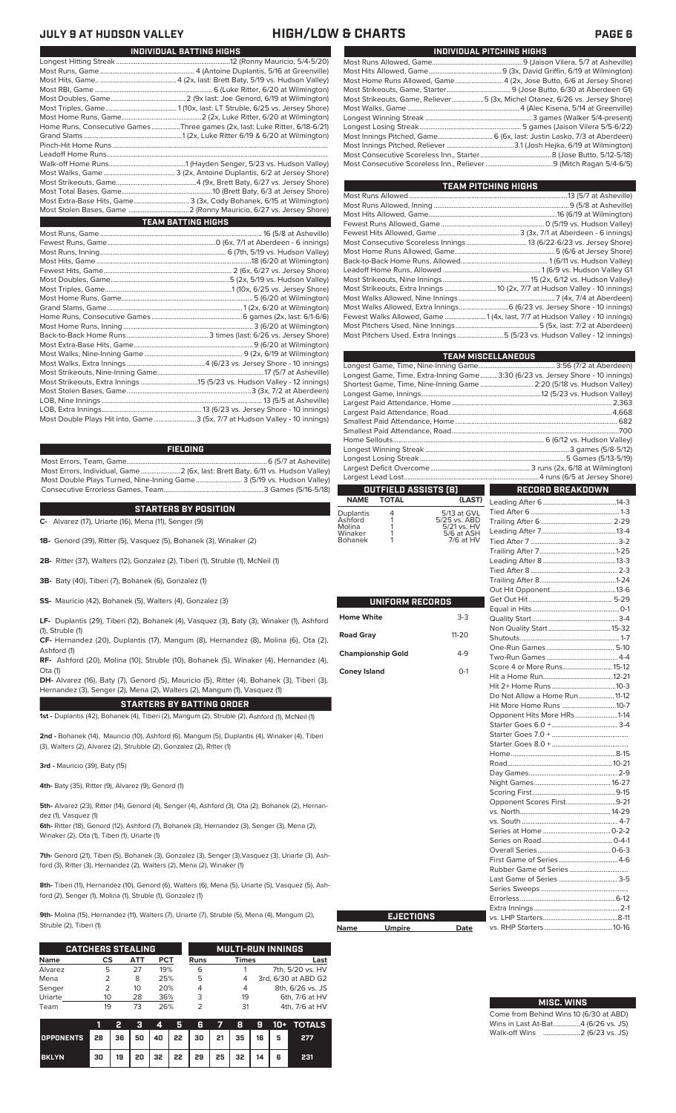# **JULY 9 AT HUDSON VALLEY HIGH/LOW & CHARTS PAGE 6**

| INDIVIDUAL PITCHING HIGHS                                                   |
|-----------------------------------------------------------------------------|
|                                                                             |
|                                                                             |
| Most Home Runs Allowed, Game4 (2x, Jose Butto, 6/6 at Jersey Shore)         |
|                                                                             |
| Most Strikeouts, Game, Reliever5 (3x, Michel Otanez, 6/26 vs. Jersey Shore) |
|                                                                             |
|                                                                             |
|                                                                             |
| Most Innings Pitched, Game 6 (6x, last: Justin Lasko, 7/3 at Aberdeen)      |
|                                                                             |
|                                                                             |
|                                                                             |

| TEAM PITCHING HIGHS                                                         |  |
|-----------------------------------------------------------------------------|--|
|                                                                             |  |
|                                                                             |  |
|                                                                             |  |
|                                                                             |  |
|                                                                             |  |
|                                                                             |  |
|                                                                             |  |
|                                                                             |  |
|                                                                             |  |
|                                                                             |  |
|                                                                             |  |
|                                                                             |  |
|                                                                             |  |
| Fewest Walks Allowed, Game  1 (4x, last, 7/7 at Hudson Valley - 10 innings) |  |
|                                                                             |  |
| Most Pitchers Used, Extra Innings 5 (5/23 vs. Hudson Valley - 12 innings)   |  |

|                          |                      |                             | <b>TEAM MISCELLANEOUS</b>                                                      |  |  |  |  |  |  |
|--------------------------|----------------------|-----------------------------|--------------------------------------------------------------------------------|--|--|--|--|--|--|
|                          |                      |                             |                                                                                |  |  |  |  |  |  |
|                          |                      |                             | Longest Game, Time, Extra-Inning Game3:30 (6/23 vs. Jersey Shore - 10 innings) |  |  |  |  |  |  |
|                          |                      |                             | Shortest Game, Time, Nine-Inning Game  2:20 (5/18 vs. Hudson Valley)           |  |  |  |  |  |  |
|                          |                      |                             |                                                                                |  |  |  |  |  |  |
|                          |                      |                             |                                                                                |  |  |  |  |  |  |
|                          |                      |                             |                                                                                |  |  |  |  |  |  |
|                          |                      |                             |                                                                                |  |  |  |  |  |  |
|                          |                      |                             |                                                                                |  |  |  |  |  |  |
|                          |                      |                             |                                                                                |  |  |  |  |  |  |
|                          |                      |                             |                                                                                |  |  |  |  |  |  |
|                          |                      |                             |                                                                                |  |  |  |  |  |  |
|                          |                      |                             |                                                                                |  |  |  |  |  |  |
|                          |                      |                             |                                                                                |  |  |  |  |  |  |
|                          | OUTFIELD ASSISTS (8) |                             | <b>RECORD BREAKDOWN</b>                                                        |  |  |  |  |  |  |
| <b>NAME</b>              | <b>TOTAL</b>         | (LAST)                      |                                                                                |  |  |  |  |  |  |
| Duplantis                | 4                    | 5/13 at GVL                 |                                                                                |  |  |  |  |  |  |
| Ashford<br>Molina        | 1<br>1               | 5/25 vs. ABD<br>5/21 vs. HV |                                                                                |  |  |  |  |  |  |
| Winaker                  | 1                    | 5/6 at ASH                  |                                                                                |  |  |  |  |  |  |
| <b>Bohanek</b>           | 1                    | 7/6 at HV                   |                                                                                |  |  |  |  |  |  |
|                          |                      |                             |                                                                                |  |  |  |  |  |  |
|                          |                      |                             |                                                                                |  |  |  |  |  |  |
|                          |                      |                             |                                                                                |  |  |  |  |  |  |
|                          |                      |                             |                                                                                |  |  |  |  |  |  |
|                          |                      |                             |                                                                                |  |  |  |  |  |  |
|                          | UNIFORM RECORDS      |                             |                                                                                |  |  |  |  |  |  |
|                          |                      | $3-3$                       |                                                                                |  |  |  |  |  |  |
| <b>Home White</b>        |                      |                             |                                                                                |  |  |  |  |  |  |
| <b>Road Gray</b>         |                      | $11 - 20$                   |                                                                                |  |  |  |  |  |  |
|                          |                      |                             |                                                                                |  |  |  |  |  |  |
| <b>Championship Gold</b> |                      | $4-9$                       |                                                                                |  |  |  |  |  |  |
|                          |                      |                             |                                                                                |  |  |  |  |  |  |
| <b>Coney Island</b>      |                      | $O-1$                       | Score 4 or More Runs15-12                                                      |  |  |  |  |  |  |
|                          |                      |                             |                                                                                |  |  |  |  |  |  |
|                          |                      |                             |                                                                                |  |  |  |  |  |  |
|                          |                      |                             | Do Not Allow a Home Run 11-12                                                  |  |  |  |  |  |  |
|                          |                      |                             | Hit More Home Runs 10-7                                                        |  |  |  |  |  |  |
|                          |                      |                             | Opponent Hits More HRs1-14                                                     |  |  |  |  |  |  |
|                          |                      |                             |                                                                                |  |  |  |  |  |  |
|                          |                      |                             |                                                                                |  |  |  |  |  |  |
|                          |                      |                             |                                                                                |  |  |  |  |  |  |
|                          |                      |                             |                                                                                |  |  |  |  |  |  |
|                          |                      |                             |                                                                                |  |  |  |  |  |  |
|                          |                      |                             |                                                                                |  |  |  |  |  |  |
|                          |                      |                             |                                                                                |  |  |  |  |  |  |
|                          |                      |                             | Opponent Scores First9-21                                                      |  |  |  |  |  |  |
|                          |                      |                             |                                                                                |  |  |  |  |  |  |
|                          |                      |                             |                                                                                |  |  |  |  |  |  |
|                          |                      |                             |                                                                                |  |  |  |  |  |  |
|                          |                      |                             |                                                                                |  |  |  |  |  |  |
|                          |                      |                             |                                                                                |  |  |  |  |  |  |
|                          |                      |                             |                                                                                |  |  |  |  |  |  |
|                          |                      |                             |                                                                                |  |  |  |  |  |  |
|                          |                      |                             |                                                                                |  |  |  |  |  |  |
|                          |                      |                             |                                                                                |  |  |  |  |  |  |
|                          |                      |                             |                                                                                |  |  |  |  |  |  |
|                          |                      |                             |                                                                                |  |  |  |  |  |  |
|                          | <b>EJECTIONS</b>     |                             |                                                                                |  |  |  |  |  |  |
| Name                     | <b>Umpire</b>        | Date                        |                                                                                |  |  |  |  |  |  |
|                          |                      |                             |                                                                                |  |  |  |  |  |  |

### **Name Umpire Date**

| <b>MISC. WINS</b>                   |
|-------------------------------------|
| Come from Behind Wins 10 (6/30 at a |

| Come from Behind Wins 10 (6/30 at ABD) |  |  |
|----------------------------------------|--|--|
| Wins in Last At-Bat4 (6/26 vs. JS)     |  |  |
| Walk-off Wins   2 (6/23 vs. JS)        |  |  |

| INDIVIDUAL BATTING HIGHS |                                                                             |  |  |  |  |  |
|--------------------------|-----------------------------------------------------------------------------|--|--|--|--|--|
|                          |                                                                             |  |  |  |  |  |
|                          |                                                                             |  |  |  |  |  |
|                          |                                                                             |  |  |  |  |  |
|                          |                                                                             |  |  |  |  |  |
|                          |                                                                             |  |  |  |  |  |
|                          |                                                                             |  |  |  |  |  |
|                          |                                                                             |  |  |  |  |  |
|                          | Home Runs, Consecutive Games Three games (2x, last: Luke Ritter, 6/18-6/21) |  |  |  |  |  |
|                          |                                                                             |  |  |  |  |  |
|                          |                                                                             |  |  |  |  |  |
|                          |                                                                             |  |  |  |  |  |
|                          |                                                                             |  |  |  |  |  |
|                          |                                                                             |  |  |  |  |  |
|                          |                                                                             |  |  |  |  |  |
|                          |                                                                             |  |  |  |  |  |
|                          | Most Extra-Base Hits, Game 3 (3x, Cody Bohanek, 6/15 at Wilmington)         |  |  |  |  |  |
|                          |                                                                             |  |  |  |  |  |
|                          | <b>TEAM BATTING HIGHS</b>                                                   |  |  |  |  |  |
|                          |                                                                             |  |  |  |  |  |
|                          |                                                                             |  |  |  |  |  |
|                          |                                                                             |  |  |  |  |  |
|                          |                                                                             |  |  |  |  |  |
|                          |                                                                             |  |  |  |  |  |
|                          |                                                                             |  |  |  |  |  |
|                          |                                                                             |  |  |  |  |  |
|                          |                                                                             |  |  |  |  |  |
|                          |                                                                             |  |  |  |  |  |
|                          |                                                                             |  |  |  |  |  |
|                          |                                                                             |  |  |  |  |  |
|                          |                                                                             |  |  |  |  |  |
|                          |                                                                             |  |  |  |  |  |
|                          |                                                                             |  |  |  |  |  |
|                          |                                                                             |  |  |  |  |  |
|                          |                                                                             |  |  |  |  |  |
|                          |                                                                             |  |  |  |  |  |
|                          |                                                                             |  |  |  |  |  |
|                          |                                                                             |  |  |  |  |  |

LOB, Extra Innings........................................................13 (6/23 vs. Jersey Shore - 10 innings) .3 (5x, 7/7 at Hudson Valley - 10 innings)

### **FIELDING**

Most Errors, Team, Game...............................................................................6 (5/7 at Asheville) .<br>2 (6x, last: Brett Baty, 6/11 vs. Hudson Valley)<br>3 (5/19 vs. Hudson Valley) Most Double Plays Turned, Nine-Inning Game.......................... 3 (5/19 vs. Hudson Valley) Consecutive Errorless Games, Team.

**STARTERS BY POSITION**

**C-** Alvarez (17), Uriarte (16), Mena (11), Senger (9)

**1B-** Genord (39), Ritter (5), Vasquez (5), Bohanek (3), Winaker (2)

**2B-** Ritter (37), Walters (12), Gonzalez (2), Tiberi (1), Struble (1), McNeil (1)

**3B-** Baty (40), Tiberi (7), Bohanek (6), Gonzalez (1)

**SS-** Mauricio (42), Bohanek (5), Walters (4), Gonzalez (3)

**LF-** Duplantis (29), Tiberi (12), Bohanek (4), Vasquez (3), Baty (3), Winaker (1), Ashford (1), Struble (1)

**CF-** Hernandez (20), Duplantis (17), Mangum (8), Hernandez (8), Molina (6), Ota (2),

Ashford (1) **RF-** Ashford (20), Molina (10), Struble (10), Bohanek (5), Winaker (4), Hernandez (4), Ota (1)

**DH-** Alvarez (16), Baty (7), Genord (5), Mauricio (5), Ritter (4), Bohanek (3), Tiberi (3), Hernandez (3), Senger (2), Mena (2), Walters (2), Mangum (1), Vasquez (1)

**STARTERS BY BATTING ORDER**

**1st -** Duplantis (42), Bohanek (4), Tiberi (2), Mangum (2), Struble (2), Ashford (1), McNeil (1)

**2nd -** Bohanek (14), Mauricio (10), Ashford (6), Mangum (5), Duplantis (4), Winaker (4), Tiberi (3), Walters (2), Alvarez (2), Strubble (2), Gonzalez (2), Ritter (1)

**3rd -** Mauricio (39), Baty (15)

**4th-** Baty (35), Ritter (9), Alvarez (9), Genord (1)

**5th-** Alvarez (23), Ritter (14), Genord (4), Senger (4), Ashford (3), Ota (2), Bohanek (2), Hernandez (1), Vasquez (1)

**6th-** Ritter (18), Genord (12), Ashford (7), Bohanek (3), Hernandez (3), Senger (3), Mena (2), Winaker (2), Ota (1), Tiberi (1), Uriarte (1)

**7th-** Genord (21), Tiberi (5), Bohanek (3), Gonzalez (3), Senger (3),Vasquez (3), Uriarte (3), Ashford (3), Ritter (3), Hernandez (2), Walters (2), Mena (2), Winaker (1)

**8th-** Tiberi (11), Hernandez (10), Genord (6), Walters (6), Mena (5), Uriarte (5), Vasquez (5), Ashford (2), Senger (1), Molina (1), Struble (1), Gonzalez (1)

**9th-** Molina (15), Hernandez (11), Walters (7), Uriarte (7), Struble (5), Mena (4), Mangum (2), Struble (2), Tiberi (1)

|             | <b>CATCHERS STEALING</b> |     |            |      | <b>MULTI-RUN INNINGS</b> |                     |  |  |  |
|-------------|--------------------------|-----|------------|------|--------------------------|---------------------|--|--|--|
| <b>Name</b> | CS                       | ATT | <b>PCT</b> | Runs | Times                    | Last                |  |  |  |
| Alvarez     | 5                        | 27  | 19%        | 6    |                          | 7th, 5/20 vs. HV    |  |  |  |
| Mena        |                          | 8   | 25%        | 5    | 4                        | 3rd, 6/30 at ABD G2 |  |  |  |
| Senger      | 2                        | 10  | 20%        | 4    | 4                        | 8th, 6/26 vs. JS    |  |  |  |
| Uriarte     | 10                       | 28  | 36%        | 3    | 19                       | 6th, 7/6 at HV      |  |  |  |
| Team        | 19                       | 73  | 26%        |      | 31                       | 4th, 7/6 at HV      |  |  |  |

|                                        |    | 2  | - 31 | <b>The Company of the Company</b> |                                                           |  |   | 5 6 7 8 9 10+ TOTALS |
|----------------------------------------|----|----|------|-----------------------------------|-----------------------------------------------------------|--|---|----------------------|
| OPPONENTS 28 36 50 40 22 30 21 35 16 5 |    |    |      |                                   |                                                           |  |   | 277                  |
| <b>BKLYN</b>                           | 30 | 19 |      |                                   | $20 \mid 32 \mid 22 \mid 29 \mid 25 \mid 32 \mid 14 \mid$ |  | 6 | 231                  |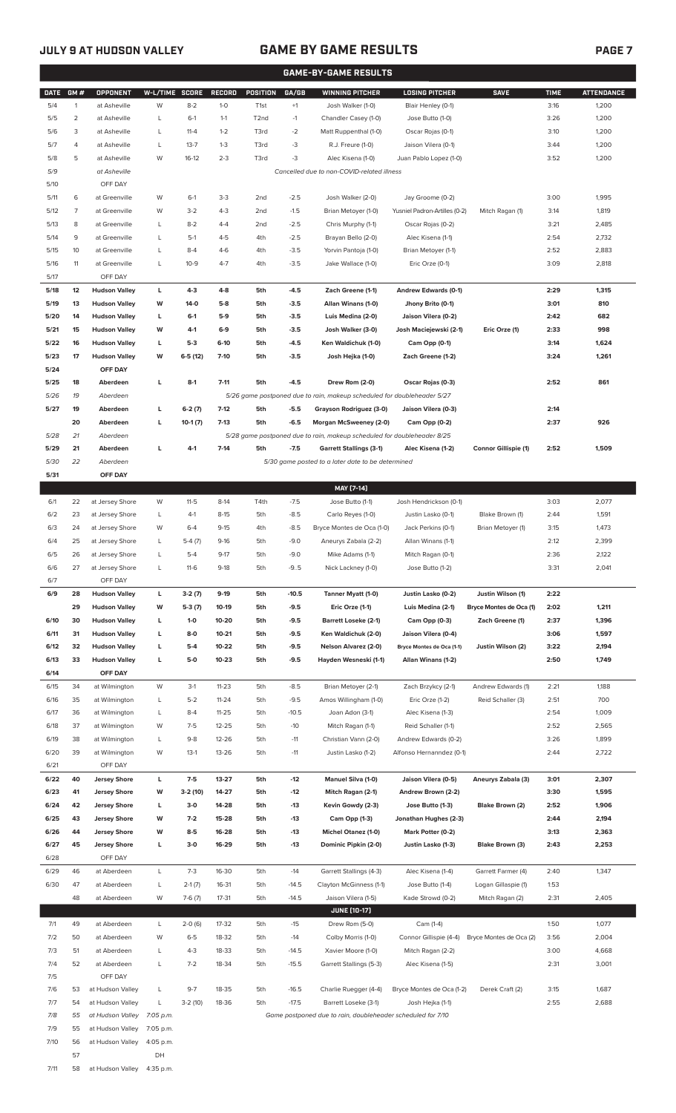57 DH 7/11 58 at Hudson Valley 4:35 p.m.

# **JULY 9 AT HUDSON VALLEY GAME BY GAME RESULTS**

|--|--|

|              | <b>GAME-BY-GAME RESULTS</b> |                                              |                |                      |                    |                        |                   |                                                                                                   |                                                    |                                              |              |                   |
|--------------|-----------------------------|----------------------------------------------|----------------|----------------------|--------------------|------------------------|-------------------|---------------------------------------------------------------------------------------------------|----------------------------------------------------|----------------------------------------------|--------------|-------------------|
| <b>DATE</b>  | GM#                         | <b>OPPONENT</b>                              | W-L/TIME SCORE |                      | <b>RECORD</b>      | <b>POSITION</b>        | GA/GB             | <b>WINNING PITCHER</b>                                                                            | <b>LOSING PITCHER</b>                              | <b>SAVE</b>                                  | <b>TIME</b>  | <b>ATTENDANCE</b> |
| 5/4          | $\overline{1}$              | at Asheville                                 | W              | $8 - 2$              | $1 - 0$            | T <sub>1st</sub>       | $+1$              | Josh Walker (1-0)                                                                                 | Blair Henley (0-1)                                 |                                              | 3:16         | 1,200             |
| 5/5          | 2                           | at Asheville                                 | L              | $6-1$                | $1 - 1$            | T <sub>2</sub> nd      | $-1$              | Chandler Casey (1-0)                                                                              | Jose Butto (1-0)                                   |                                              | 3:26         | 1,200             |
| 5/6          | 3                           | at Asheville                                 | L              | $11 - 4$             | $1 - 2$            | T3rd                   | $-2$              | Matt Ruppenthal (1-0)                                                                             | Oscar Rojas (0-1)                                  |                                              | 3:10         | 1,200             |
| 5/7          | 4                           | at Asheville                                 | L              | $13 - 7$             | $1 - 3$            | T3rd                   | -3                | R.J. Freure (1-0)                                                                                 | Jaison Vilera (0-1)                                |                                              | 3:44         | 1,200             |
| 5/8          | 5                           | at Asheville                                 | W              | $16-12$              | $2 - 3$            | T3rd                   | -3                | Alec Kisena (1-0)                                                                                 | Juan Pablo Lopez (1-0)                             |                                              | 3:52         | 1,200             |
| 5/9          |                             | at Asheville                                 |                |                      |                    |                        |                   | Cancelled due to non-COVID-related illness                                                        |                                                    |                                              |              |                   |
| 5/10         |                             | OFF DAY                                      |                |                      |                    |                        |                   |                                                                                                   |                                                    |                                              |              |                   |
| 5/11         | 6                           | at Greenville                                | W              | $6-1$                | $3-3$              | 2 <sub>nd</sub>        | $-2.5$            | Josh Walker (2-0)                                                                                 | Jay Groome (0-2)                                   |                                              | 3:00         | 1,995             |
| 5/12         | $\overline{7}$              | at Greenville                                | W              | $3-2$<br>$8 - 2$     | $4 - 3$            | 2 <sub>nd</sub>        | $-1.5$            | Brian Metoyer (1-0)                                                                               | Yusniel Padron-Artilles (0-2)<br>Oscar Rojas (0-2) | Mitch Ragan (1)                              | 3:14         | 1,819             |
| 5/13<br>5/14 | 8<br>9                      | at Greenville<br>at Greenville               | L<br>L         | $5-1$                | $4 - 4$<br>$4 - 5$ | 2 <sub>nd</sub><br>4th | $-2.5$<br>$-2.5$  | Chris Murphy (1-1)<br>Brayan Bello (2-0)                                                          | Alec Kisena (1-1)                                  |                                              | 3:21<br>2:54 | 2,485<br>2,732    |
| 5/15         | 10                          | at Greenville                                | L              | $8 - 4$              | $4-6$              | 4th                    | $-3.5$            | Yorvin Pantoja (1-0)                                                                              | Brian Metoyer (1-1)                                |                                              | 2:52         | 2,883             |
| 5/16         | 11                          | at Greenville                                | L              | $10-9$               | $4 - 7$            | 4th                    | $-3.5$            | Jake Wallace (1-0)                                                                                | Eric Orze (0-1)                                    |                                              | 3:09         | 2,818             |
| 5/17         |                             | OFF DAY                                      |                |                      |                    |                        |                   |                                                                                                   |                                                    |                                              |              |                   |
| 5/18         | 12                          | <b>Hudson Valley</b>                         | г              | $4 - 3$              | 4-8                | 5th                    | $-4.5$            | Zach Greene (1-1)                                                                                 | Andrew Edwards (0-1)                               |                                              | 2:29         | 1,315             |
| 5/19         | 13                          | <b>Hudson Valley</b>                         | w              | $14-0$               | $5-8$              | 5th                    | $-3.5$            | Allan Winans (1-0)                                                                                | Jhony Brito (0-1)                                  |                                              | 3:01         | 810               |
| 5/20         | 14                          | <b>Hudson Valley</b>                         | L              | 6-1                  | $5-9$              | 5th                    | $-3.5$            | Luis Medina (2-0)                                                                                 | Jaison Vilera (0-2)                                |                                              | 2:42         | 682               |
| 5/21         | 15                          | <b>Hudson Valley</b>                         | W              | 4-1                  | $6-9$              | 5th                    | $-3.5$            | Josh Walker (3-0)                                                                                 | Josh Maciejewski (2-1)                             | Eric Orze (1)                                | 2:33         | 998               |
| 5/22         | 16                          | <b>Hudson Valley</b>                         | L              | $5-3$                | 6-10               | 5th                    | -4.5              | Ken Waldichuk (1-0)                                                                               | Cam Opp (0-1)                                      |                                              | 3:14         | 1,624             |
| 5/23         | 17                          | <b>Hudson Valley</b>                         | W              | $6-5(12)$            | $7-10$             | 5th                    | $-3.5$            | Josh Hejka (1-0)                                                                                  | Zach Greene (1-2)                                  |                                              | 3:24         | 1,261             |
| 5/24         |                             | OFF DAY                                      |                |                      |                    |                        |                   |                                                                                                   |                                                    |                                              |              |                   |
| 5/25         | 18                          | Aberdeen                                     | L              | $8-1$                | $7 - 11$           | 5th                    | $-4.5$            | Drew Rom (2-0)                                                                                    | Oscar Rojas (0-3)                                  |                                              | 2:52         | 861               |
| 5/26         | 19                          | Aberdeen                                     |                |                      |                    |                        |                   | 5/26 game postponed due to rain, makeup scheduled for doubleheader 5/27                           |                                                    |                                              |              |                   |
| 5/27         | 19                          | Aberdeen                                     | L              | $6-2(7)$             | $7-12$             | 5th                    | $-5.5$            | Grayson Rodriguez (3-0)                                                                           | Jaison Vilera (0-3)                                |                                              | 2:14         |                   |
| 5/28         | 20<br>21                    | Aberdeen<br>Aberdeen                         | L              | $10-1(7)$            | $7-13$             | 5th                    | $-6.5$            | Morgan McSweeney (2-0)<br>5/28 game postponed due to rain, makeup scheduled for doubleheader 8/25 | Cam Opp (0-2)                                      |                                              | 2:37         | 926               |
| 5/29         | 21                          | Aberdeen                                     | г              | $4-1$                | $7 - 14$           | 5th                    | $-7.5$            | <b>Garrett Stallings (3-1)</b>                                                                    | Alec Kisena (1-2)                                  | Connor Gillispie (1)                         | 2:52         | 1,509             |
| 5/30         | 22                          | Aberdeen                                     |                |                      |                    |                        |                   | 5/30 game posted to a later date to be determined                                                 |                                                    |                                              |              |                   |
| 5/31         |                             | OFF DAY                                      |                |                      |                    |                        |                   |                                                                                                   |                                                    |                                              |              |                   |
|              |                             |                                              |                |                      |                    |                        |                   | MAY [7-14]                                                                                        |                                                    |                                              |              |                   |
| 6/1          | 22                          | at Jersey Shore                              | W              | $11 - 5$             | $8-14$             | T4th                   | $-7.5$            | Jose Butto (1-1)                                                                                  | Josh Hendrickson (0-1)                             |                                              | 3:03         | 2,077             |
| 6/2          | 23                          | at Jersey Shore                              | L              | $4-1$                | $8 - 15$           | 5th                    | $-8.5$            | Carlo Reyes (1-0)                                                                                 | Justin Lasko (0-1)                                 | Blake Brown (1)                              | 2:44         | 1,591             |
| 6/3          | 24                          | at Jersey Shore                              | W              | $6 - 4$              | $9 - 15$           | 4th                    | $-8.5$            | Bryce Montes de Oca (1-0)                                                                         | Jack Perkins (0-1)                                 | Brian Metoyer (1)                            | 3:15         | 1,473             |
| 6/4          | 25                          | at Jersey Shore                              | L              | $5-4(7)$             | $9-16$             | 5th                    | $-9.0$            | Aneurys Zabala (2-2)                                                                              | Allan Winans (1-1)                                 |                                              | 2:12         | 2,399             |
| 6/5          | 26                          | at Jersey Shore                              | L              | $5 - 4$              | $9 - 17$           | 5th                    | $-9.0$            | Mike Adams (1-1)                                                                                  | Mitch Ragan (0-1)                                  |                                              | 2:36         | 2,122             |
| 6/6          | 27                          | at Jersey Shore                              | L              | $11-6$               | $9-18$             | 5th                    | $-9.5$            | Nick Lackney (1-0)                                                                                | Jose Butto (1-2)                                   |                                              | 3:31         | 2,041             |
| 6/7          |                             | OFF DAY                                      |                |                      |                    |                        |                   |                                                                                                   |                                                    |                                              |              |                   |
| 6/9          | 28<br>29                    | <b>Hudson Valley</b><br><b>Hudson Valley</b> | L<br>W         | $3-2(7)$<br>$5-3(7)$ | $9-19$<br>10-19    | 5th<br>5th             | $-10.5$<br>$-9.5$ | Tanner Myatt (1-0)<br>Eric Orze (1-1)                                                             | Justin Lasko (0-2)<br>Luis Medina (2-1)            | Justin Wilson (1)<br>Bryce Montes de Oca (1) | 2:22<br>2:02 | 1,211             |
| 6/10         | 30                          | <b>Hudson Valley</b>                         | L              | $1 - 0$              | 10-20              | 5th                    | $-9.5$            | <b>Barrett Loseke (2-1)</b>                                                                       | Cam Opp (0-3)                                      | Zach Greene (1)                              | 2:37         | 1,396             |
| 6/11         | 31                          | <b>Hudson Valley</b>                         | г              | $8-0$                | $10 - 21$          | 5th                    | $-9.5$            | Ken Waldichuk (2-0)                                                                               | Jaison Vilera (0-4)                                |                                              | 3:06         | 1,597             |
| 6/12         | 32                          | <b>Hudson Valley</b>                         | г              | $5 - 4$              | 10-22              | 5th                    | $-9.5$            | Nelson Alvarez (2-0)                                                                              | Bryce Montes de Oca (1-1)                          | Justin Wilson (2)                            | 3:22         | 2,194             |
| 6/13         | 33                          | <b>Hudson Valley</b>                         | г              | 5-0                  | $10 - 23$          | 5th                    | $-9.5$            | Hayden Wesneski (1-1)                                                                             | Allan Winans (1-2)                                 |                                              | 2:50         | 1,749             |
| 6/14         |                             | OFF DAY                                      |                |                      |                    |                        |                   |                                                                                                   |                                                    |                                              |              |                   |
| 6/15         | 34                          | at Wilmington                                | W              | $3-1$                | $11 - 23$          | 5th                    | $-8.5$            | Brian Metoyer (2-1)                                                                               | Zach Brzykcy (2-1)                                 | Andrew Edwards (1)                           | 2:21         | 1,188             |
| 6/16         | 35                          | at Wilmington                                | L              | $5 - 2$              | $11 - 24$          | 5th                    | $-9.5$            | Amos Willingham (1-0)                                                                             | Eric Orze (1-2)                                    | Reid Schaller (3)                            | 2:51         | 700               |
| 6/17         | 36                          | at Wilmington                                | L              | $8 - 4$              | $11 - 25$          | 5th                    | $-10.5$           | Joan Adon (3-1)                                                                                   | Alec Kisena (1-3)                                  |                                              | 2:54         | 1,009             |
| 6/18         | 37                          | at Wilmington                                | W              | $7 - 5$              | $12 - 25$          | 5th                    | $-10$             | Mitch Ragan (1-1)                                                                                 | Reid Schaller (1-1)                                |                                              | 2:52         | 2,565             |
| 6/19         | 38                          | at Wilmington                                | L              | $9 - 8$              | $12 - 26$          | 5th                    | $-11$             | Christian Vann (2-0)                                                                              | Andrew Edwards (0-2)                               |                                              | 3:26         | 1,899             |
| 6/20         | 39                          | at Wilmington                                | W              | $13-1$               | $13 - 26$          | 5th                    | $-11$             | Justin Lasko (1-2)                                                                                | Alfonso Hernanndez (0-1)                           |                                              | 2:44         | 2,722             |
| 6/21<br>6/22 | 40                          | OFF DAY<br><b>Jersey Shore</b>               | L              | 7-5                  | 13-27              | 5th                    | -12               | Manuel Silva (1-0)                                                                                | Jaison Vilera (0-5)                                | Aneurys Zabala (3)                           | 3:01         | 2,307             |
| 6/23         | 41                          | <b>Jersey Shore</b>                          | W              | 3-2 (10)             | 14-27              | 5th                    | $-12$             | Mitch Ragan (2-1)                                                                                 | Andrew Brown (2-2)                                 |                                              | 3:30         | 1,595             |
| 6/24         | 42                          | <b>Jersey Shore</b>                          | L              | 3-0                  | 14-28              | 5th                    | $-13$             | Kevin Gowdy (2-3)                                                                                 | Jose Butto (1-3)                                   | Blake Brown (2)                              | 2:52         | 1,906             |
| 6/25         | 43                          | <b>Jersey Shore</b>                          | W              | $7-2$                | 15-28              | 5th                    | -13               | Cam Opp (1-3)                                                                                     | Jonathan Hughes (2-3)                              |                                              | 2:44         | 2,194             |
| 6/26         | 44                          | <b>Jersey Shore</b>                          | W              | $8-5$                | 16-28              | 5th                    | $-13$             | <b>Michel Otanez (1-0)</b>                                                                        | Mark Potter (0-2)                                  |                                              | 3:13         | 2,363             |
| 6/27         | 45                          | <b>Jersey Shore</b>                          | L              | $3-0$                | 16-29              | 5th                    | $-13$             | Dominic Pipkin (2-0)                                                                              | Justin Lasko (1-3)                                 | Blake Brown (3)                              | 2:43         | 2,253             |
| 6/28         |                             | OFF DAY                                      |                |                      |                    |                        |                   |                                                                                                   |                                                    |                                              |              |                   |
| 6/29         | 46                          | at Aberdeen                                  | L              | $7 - 3$              | 16-30              | 5th                    | $-14$             | Garrett Stallings (4-3)                                                                           | Alec Kisena (1-4)                                  | Garrett Farmer (4)                           | 2:40         | 1,347             |
| 6/30         | 47                          | at Aberdeen                                  | L              | $2-1(7)$             | 16-31              | 5th                    | $-14.5$           | Clayton McGinness (1-1)                                                                           | Jose Butto (1-4)                                   | Logan Gillaspie (1)                          | 1:53         |                   |
|              | 48                          | at Aberdeen                                  | W              | $7-6(7)$             | $17 - 31$          | 5th                    | $-14.5$           | Jaison Vilera (1-5)                                                                               | Kade Strowd (0-2)                                  | Mitch Ragan (2)                              | 2:31         | 2,405             |
|              |                             |                                              |                |                      |                    |                        |                   | <b>JUNE (10-17)</b>                                                                               |                                                    |                                              |              |                   |
| 7/1          | 49                          | at Aberdeen                                  | L              | $2-0(6)$             | 17-32              | 5th                    | $-15$             | Drew Rom (5-0)                                                                                    | Cam (1-4)                                          |                                              | 1:50         | 1,077             |
| 7/2          | 50                          | at Aberdeen                                  | W              | $6 - 5$              | 18-32              | 5th                    | $-14$             | Colby Morris (1-0)                                                                                | Connor Gillispie (4-4)                             | Bryce Montes de Oca (2)                      | 3:56         | 2,004             |
| 7/3          | 51                          | at Aberdeen                                  | L              | $4 - 3$              | 18-33              | 5th                    | $-14.5$           | Xavier Moore (1-0)                                                                                | Mitch Ragan (2-2)                                  |                                              | 3:00         | 4,668             |
| 7/4<br>7/5   | 52                          | at Aberdeen<br>OFF DAY                       | L              | $7 - 2$              | 18-34              | 5th                    | $-15.5$           | Garrett Stallings (5-3)                                                                           | Alec Kisena (1-5)                                  |                                              | 2:31         | 3,001             |
| 7/6          | 53                          | at Hudson Valley                             | L              | $9 - 7$              | 18-35              | 5th                    | $-16.5$           | Charlie Ruegger (4-4)                                                                             | Bryce Montes de Oca (1-2)                          | Derek Craft (2)                              | 3:15         | 1,687             |
| 7/7          | 54                          | at Hudson Valley                             | L              | $3-2(10)$            | 18-36              | 5th                    | $-17.5$           | Barrett Loseke (3-1)                                                                              | Josh Hejka (1-1)                                   |                                              | 2:55         | 2,688             |
| 7/8          | 55                          | at Hudson Valley                             | 7:05 p.m.      |                      |                    |                        |                   | Game postponed due to rain, doubleheader scheduled for 7/10                                       |                                                    |                                              |              |                   |
| 7/9          | 55                          | at Hudson Valley                             | 7:05 p.m.      |                      |                    |                        |                   |                                                                                                   |                                                    |                                              |              |                   |
| 7/10         | 56                          | at Hudson Valley 4:05 p.m.                   |                |                      |                    |                        |                   |                                                                                                   |                                                    |                                              |              |                   |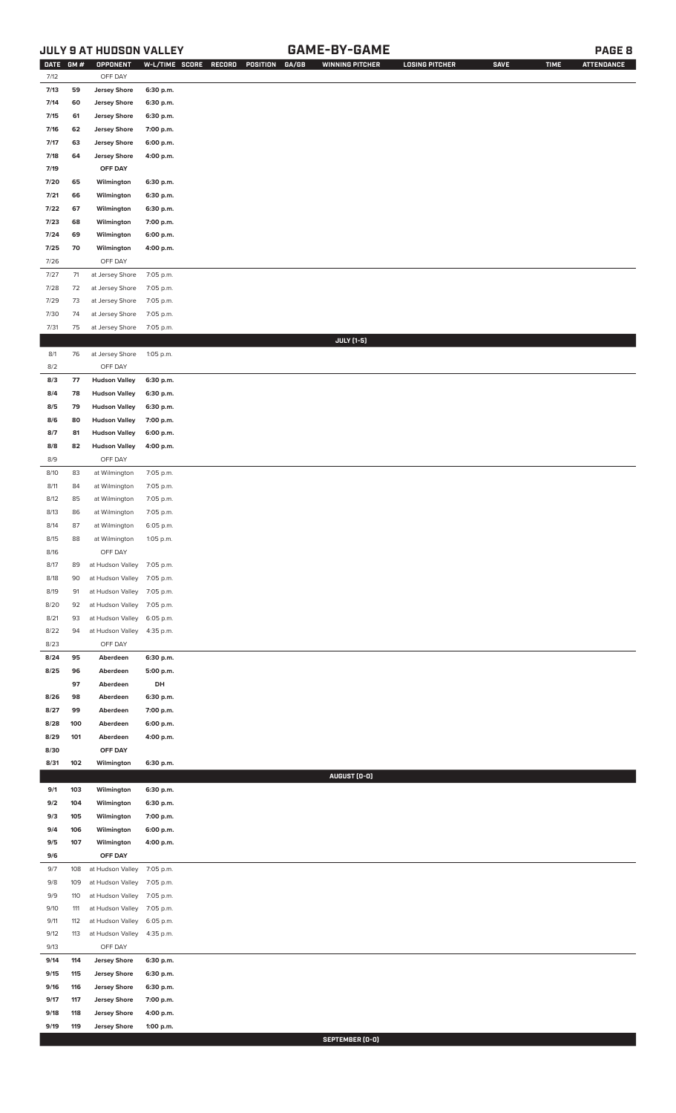# **JULY 9 AT HUDSON VALLEY GAME-BY-GAME PAGE 8**

| <b>DATE</b>  | GM#        | OPPONENT                                     | W-L/TIME SCORE         | RECORD<br>POSITION | GA/GB | <b>WINNING PITCHER</b> | <b>LOSING PITCHER</b> | <b>SAVE</b> | <b>TIME</b> | <b>ATTENDANCE</b> |
|--------------|------------|----------------------------------------------|------------------------|--------------------|-------|------------------------|-----------------------|-------------|-------------|-------------------|
| 7/12         |            | OFF DAY                                      |                        |                    |       |                        |                       |             |             |                   |
| 7/13         | 59         | <b>Jersey Shore</b>                          | 6:30 p.m.              |                    |       |                        |                       |             |             |                   |
| 7/14         | 60         | <b>Jersey Shore</b>                          | 6:30 p.m.              |                    |       |                        |                       |             |             |                   |
| 7/15<br>7/16 | 61<br>62   | <b>Jersey Shore</b><br><b>Jersey Shore</b>   | 6:30 p.m.<br>7:00 p.m. |                    |       |                        |                       |             |             |                   |
| 7/17         | 63         | <b>Jersey Shore</b>                          | 6:00 p.m.              |                    |       |                        |                       |             |             |                   |
| 7/18         | 64         | <b>Jersey Shore</b>                          | 4:00 p.m.              |                    |       |                        |                       |             |             |                   |
| 7/19         |            | OFF DAY                                      |                        |                    |       |                        |                       |             |             |                   |
| 7/20         | 65         | Wilmington                                   | 6:30 p.m.              |                    |       |                        |                       |             |             |                   |
| 7/21         | 66         | Wilmington                                   | 6:30 p.m.              |                    |       |                        |                       |             |             |                   |
| 7/22         | 67         | Wilmington                                   | 6:30 p.m.              |                    |       |                        |                       |             |             |                   |
| 7/23         | 68         | Wilmington                                   | 7:00 p.m.              |                    |       |                        |                       |             |             |                   |
| 7/24         | 69         | Wilmington                                   | 6:00 p.m.              |                    |       |                        |                       |             |             |                   |
| 7/25         | 70         | Wilmington                                   | 4:00 p.m.              |                    |       |                        |                       |             |             |                   |
| 7/26         |            | OFF DAY                                      |                        |                    |       |                        |                       |             |             |                   |
| 7/27         | $71$       | at Jersey Shore                              | 7:05 p.m.              |                    |       |                        |                       |             |             |                   |
| $7/28$       | 72         | at Jersey Shore                              | 7:05 p.m.              |                    |       |                        |                       |             |             |                   |
| 7/29         | 73         | at Jersey Shore                              | 7:05 p.m.              |                    |       |                        |                       |             |             |                   |
| 7/30         | 74         | at Jersey Shore                              | 7:05 p.m.              |                    |       |                        |                       |             |             |                   |
| 7/31         | 75         | at Jersey Shore                              | 7:05 p.m.              |                    |       |                        |                       |             |             |                   |
|              |            |                                              |                        |                    |       | <b>JULY</b> [1-5]      |                       |             |             |                   |
| 8/1          | 76         | at Jersey Shore                              | 1:05 p.m.              |                    |       |                        |                       |             |             |                   |
| 8/2          |            | OFF DAY                                      |                        |                    |       |                        |                       |             |             |                   |
| 8/3<br>8/4   | 77<br>78   | <b>Hudson Valley</b><br><b>Hudson Valley</b> | 6:30 p.m.<br>6:30 p.m. |                    |       |                        |                       |             |             |                   |
| 8/5          | 79         | <b>Hudson Valley</b>                         | 6:30 p.m.              |                    |       |                        |                       |             |             |                   |
| 8/6          | 80         | <b>Hudson Valley</b>                         | 7:00 p.m.              |                    |       |                        |                       |             |             |                   |
| 8/7          | 81         | <b>Hudson Valley</b>                         | 6:00 p.m.              |                    |       |                        |                       |             |             |                   |
| 8/8          | 82         | <b>Hudson Valley</b>                         | 4:00 p.m.              |                    |       |                        |                       |             |             |                   |
| 8/9          |            | OFF DAY                                      |                        |                    |       |                        |                       |             |             |                   |
| 8/10         | 83         | at Wilmington                                | 7:05 p.m.              |                    |       |                        |                       |             |             |                   |
| 8/11         | 84         | at Wilmington                                | 7:05 p.m.              |                    |       |                        |                       |             |             |                   |
| 8/12         | 85         | at Wilmington                                | 7:05 p.m.              |                    |       |                        |                       |             |             |                   |
| 8/13         | 86         | at Wilmington                                | 7:05 p.m.              |                    |       |                        |                       |             |             |                   |
| 8/14         | 87         | at Wilmington                                | 6:05 p.m.              |                    |       |                        |                       |             |             |                   |
| 8/15         | 88         | at Wilmington                                | 1:05 p.m.              |                    |       |                        |                       |             |             |                   |
| 8/16         |            | OFF DAY                                      |                        |                    |       |                        |                       |             |             |                   |
| 8/17         | 89         | at Hudson Valley                             | 7:05 p.m.              |                    |       |                        |                       |             |             |                   |
| 8/18         | 90         | at Hudson Valley                             | 7:05 p.m.              |                    |       |                        |                       |             |             |                   |
| 8/19         | 91         | at Hudson Valley                             | 7:05 p.m.              |                    |       |                        |                       |             |             |                   |
| 8/20         | 92         | at Hudson Valley                             | 7:05 p.m.              |                    |       |                        |                       |             |             |                   |
| 8/21         | 93         | at Hudson Valley                             | 6:05 p.m.              |                    |       |                        |                       |             |             |                   |
| 8/22<br>8/23 | 94         | at Hudson Valley<br>OFF DAY                  | 4:35 p.m.              |                    |       |                        |                       |             |             |                   |
| 8/24         | 95         | Aberdeen                                     | 6:30 p.m.              |                    |       |                        |                       |             |             |                   |
| 8/25         | 96         | Aberdeen                                     | 5:00 p.m.              |                    |       |                        |                       |             |             |                   |
|              | 97         | Aberdeen                                     | DH                     |                    |       |                        |                       |             |             |                   |
| 8/26         | 98         | Aberdeen                                     | 6:30 p.m.              |                    |       |                        |                       |             |             |                   |
| 8/27         | 99         | Aberdeen                                     | 7:00 p.m.              |                    |       |                        |                       |             |             |                   |
| 8/28         | 100        | Aberdeen                                     | 6:00 p.m.              |                    |       |                        |                       |             |             |                   |
| 8/29         | 101        | Aberdeen                                     | 4:00 p.m.              |                    |       |                        |                       |             |             |                   |
| 8/30         |            | OFF DAY                                      |                        |                    |       |                        |                       |             |             |                   |
| 8/31         | 102        | Wilmington                                   | 6:30 p.m.              |                    |       |                        |                       |             |             |                   |
|              |            |                                              |                        |                    |       | AUGUST (0-0)           |                       |             |             |                   |
| 9/1          | 103        | Wilmington                                   | 6:30 p.m.              |                    |       |                        |                       |             |             |                   |
| 9/2<br>9/3   | 104<br>105 | Wilmington                                   | 6:30 p.m.              |                    |       |                        |                       |             |             |                   |
| 9/4          | 106        | Wilmington<br>Wilmington                     | 7:00 p.m.<br>6:00 p.m. |                    |       |                        |                       |             |             |                   |
| 9/5          | 107        | Wilmington                                   | 4:00 p.m.              |                    |       |                        |                       |             |             |                   |
| 9/6          |            | OFF DAY                                      |                        |                    |       |                        |                       |             |             |                   |
| 9/7          | 108        | at Hudson Valley                             | 7:05 p.m.              |                    |       |                        |                       |             |             |                   |
| 9/8          | 109        | at Hudson Valley                             | 7:05 p.m.              |                    |       |                        |                       |             |             |                   |
| 9/9          | 110        | at Hudson Valley                             | 7:05 p.m.              |                    |       |                        |                       |             |             |                   |
| 9/10         | 111        | at Hudson Valley                             | 7:05 p.m.              |                    |       |                        |                       |             |             |                   |
| 9/11         | 112        | at Hudson Valley                             | 6:05 p.m.              |                    |       |                        |                       |             |             |                   |
| 9/12         | 113        | at Hudson Valley                             | 4:35 p.m.              |                    |       |                        |                       |             |             |                   |
| 9/13         |            | OFF DAY                                      |                        |                    |       |                        |                       |             |             |                   |
| 9/14         | 114        | <b>Jersey Shore</b>                          | 6:30 p.m.              |                    |       |                        |                       |             |             |                   |
| 9/15         | 115        | <b>Jersey Shore</b>                          | 6:30 p.m.              |                    |       |                        |                       |             |             |                   |
| 9/16         | 116        | <b>Jersey Shore</b>                          | 6:30 p.m.              |                    |       |                        |                       |             |             |                   |
| 9/17         | 117        | <b>Jersey Shore</b>                          | 7:00 p.m.              |                    |       |                        |                       |             |             |                   |
| 9/18<br>9/19 | 118<br>119 | <b>Jersey Shore</b><br><b>Jersey Shore</b>   | 4:00 p.m.<br>1:00 p.m. |                    |       |                        |                       |             |             |                   |
|              |            |                                              |                        |                    |       |                        |                       |             |             |                   |

**SEPTEMBER (0-0)**